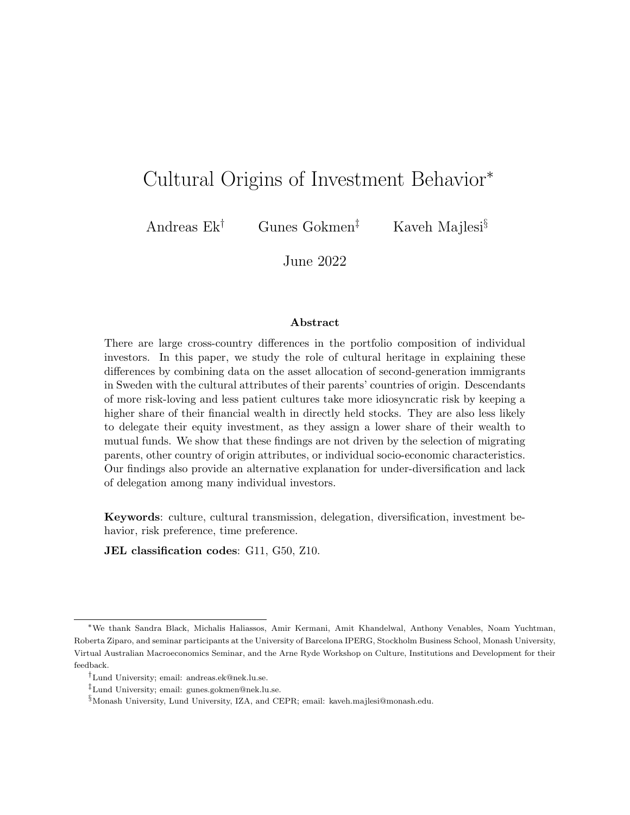## Cultural Origins of Investment Behavior<sup>∗</sup>

Andreas Ek† Gunes Gokmen‡ Kaveh Majlesi§

June 2022

#### Abstract

There are large cross-country differences in the portfolio composition of individual investors. In this paper, we study the role of cultural heritage in explaining these differences by combining data on the asset allocation of second-generation immigrants in Sweden with the cultural attributes of their parents' countries of origin. Descendants of more risk-loving and less patient cultures take more idiosyncratic risk by keeping a higher share of their financial wealth in directly held stocks. They are also less likely to delegate their equity investment, as they assign a lower share of their wealth to mutual funds. We show that these findings are not driven by the selection of migrating parents, other country of origin attributes, or individual socio-economic characteristics. Our findings also provide an alternative explanation for under-diversification and lack of delegation among many individual investors.

Keywords: culture, cultural transmission, delegation, diversification, investment behavior, risk preference, time preference.

JEL classification codes: G11, G50, Z10.

<sup>∗</sup>We thank Sandra Black, Michalis Haliassos, Amir Kermani, Amit Khandelwal, Anthony Venables, Noam Yuchtman, Roberta Ziparo, and seminar participants at the University of Barcelona IPERG, Stockholm Business School, Monash University, Virtual Australian Macroeconomics Seminar, and the Arne Ryde Workshop on Culture, Institutions and Development for their feedback.

<sup>†</sup>Lund University; email: andreas.ek@nek.lu.se.

<sup>‡</sup>Lund University; email: gunes.gokmen@nek.lu.se.

<sup>§</sup>Monash University, Lund University, IZA, and CEPR; email: kaveh.majlesi@monash.edu.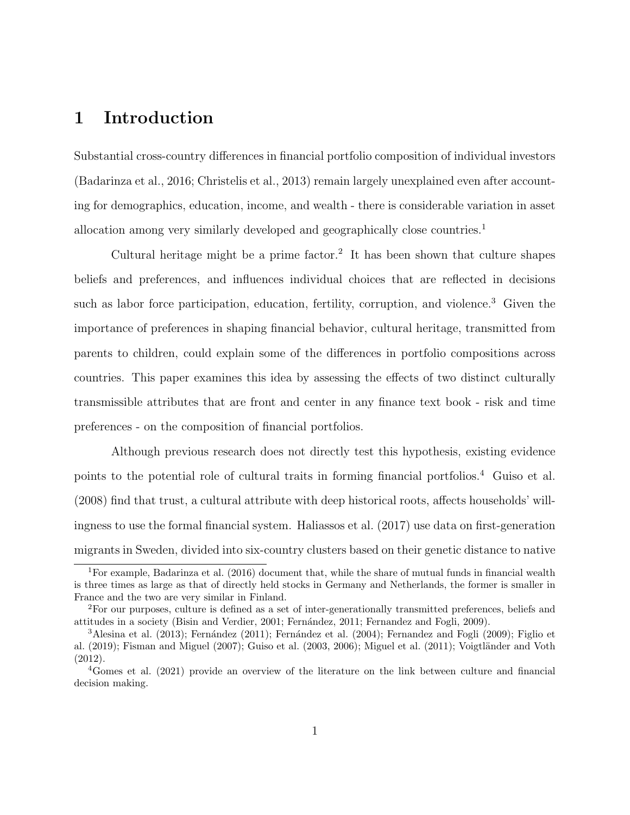## 1 Introduction

Substantial cross-country differences in financial portfolio composition of individual investors [\(Badarinza et al., 2016;](#page-47-0) [Christelis et al., 2013\)](#page-49-0) remain largely unexplained even after accounting for demographics, education, income, and wealth - there is considerable variation in asset allocation among very similarly developed and geographically close countries.[1](#page-1-0)

Cultural heritage might be a prime factor.<sup>[2](#page-1-1)</sup> It has been shown that culture shapes beliefs and preferences, and influences individual choices that are reflected in decisions such as labor force participation, education, fertility, corruption, and violence.<sup>[3](#page-1-2)</sup> Given the importance of preferences in shaping financial behavior, cultural heritage, transmitted from parents to children, could explain some of the differences in portfolio compositions across countries. This paper examines this idea by assessing the effects of two distinct culturally transmissible attributes that are front and center in any finance text book - risk and time preferences - on the composition of financial portfolios.

Although previous research does not directly test this hypothesis, existing evidence points to the potential role of cultural traits in forming financial portfolios.<sup>[4](#page-1-3)</sup> [Guiso et al.](#page-52-0) [\(2008\)](#page-52-0) find that trust, a cultural attribute with deep historical roots, affects households' willingness to use the formal financial system. [Haliassos et al.](#page-52-1) [\(2017\)](#page-52-1) use data on first-generation migrants in Sweden, divided into six-country clusters based on their genetic distance to native

<span id="page-1-0"></span><sup>1</sup>For example, [Badarinza et al.](#page-47-0) [\(2016\)](#page-47-0) document that, while the share of mutual funds in financial wealth is three times as large as that of directly held stocks in Germany and Netherlands, the former is smaller in France and the two are very similar in Finland.

<span id="page-1-1"></span><sup>2</sup>For our purposes, culture is defined as a set of inter-generationally transmitted preferences, beliefs and attitudes in a society [\(Bisin and Verdier, 2001;](#page-47-1) Fernandez, 2011; [Fernandez and Fogli, 2009\)](#page-51-0).

<span id="page-1-2"></span> $3$ [Alesina et al.](#page-46-0) [\(2013\)](#page-46-0); Fernández [\(2011\)](#page-50-0); Fernández et al. [\(2004\)](#page-50-1); [Fernandez and Fogli](#page-51-0) [\(2009\)](#page-51-0); [Figlio et](#page-51-1) [al.](#page-51-1)  $(2019)$ ; [Fisman and Miguel](#page-51-2)  $(2007)$ ; [Guiso et al.](#page-52-2)  $(2003, 2006)$  $(2003, 2006)$ ; [Miguel et al.](#page-53-0)  $(2011)$ ; Voigtländer and Voth [\(2012\)](#page-54-0).

<span id="page-1-3"></span><sup>4</sup>[Gomes et al.](#page-52-4) [\(2021\)](#page-52-4) provide an overview of the literature on the link between culture and financial decision making.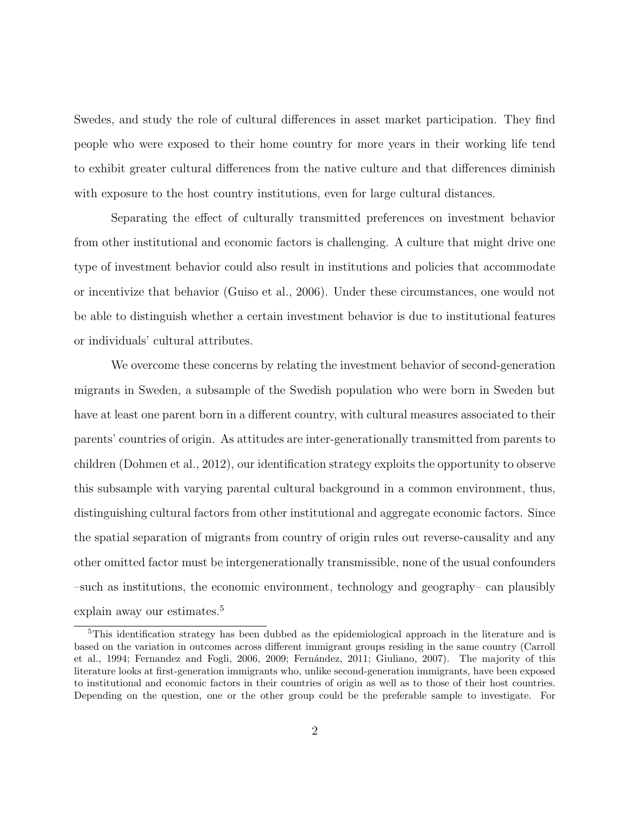Swedes, and study the role of cultural differences in asset market participation. They find people who were exposed to their home country for more years in their working life tend to exhibit greater cultural differences from the native culture and that differences diminish with exposure to the host country institutions, even for large cultural distances.

Separating the effect of culturally transmitted preferences on investment behavior from other institutional and economic factors is challenging. A culture that might drive one type of investment behavior could also result in institutions and policies that accommodate or incentivize that behavior [\(Guiso et al., 2006\)](#page-52-3). Under these circumstances, one would not be able to distinguish whether a certain investment behavior is due to institutional features or individuals' cultural attributes.

We overcome these concerns by relating the investment behavior of second-generation migrants in Sweden, a subsample of the Swedish population who were born in Sweden but have at least one parent born in a different country, with cultural measures associated to their parents' countries of origin. As attitudes are inter-generationally transmitted from parents to children [\(Dohmen et al., 2012\)](#page-49-1), our identification strategy exploits the opportunity to observe this subsample with varying parental cultural background in a common environment, thus, distinguishing cultural factors from other institutional and aggregate economic factors. Since the spatial separation of migrants from country of origin rules out reverse-causality and any other omitted factor must be intergenerationally transmissible, none of the usual confounders –such as institutions, the economic environment, technology and geography– can plausibly explain away our estimates.<sup>[5](#page-2-0)</sup>

<span id="page-2-0"></span><sup>&</sup>lt;sup>5</sup>This identification strategy has been dubbed as the epidemiological approach in the literature and is based on the variation in outcomes across different immigrant groups residing in the same country [\(Carroll](#page-48-0) [et al., 1994;](#page-48-0) [Fernandez and Fogli, 2006,](#page-50-2) [2009;](#page-51-0) Fernández, 2011; [Giuliano, 2007\)](#page-51-3). The majority of this literature looks at first-generation immigrants who, unlike second-generation immigrants, have been exposed to institutional and economic factors in their countries of origin as well as to those of their host countries. Depending on the question, one or the other group could be the preferable sample to investigate. For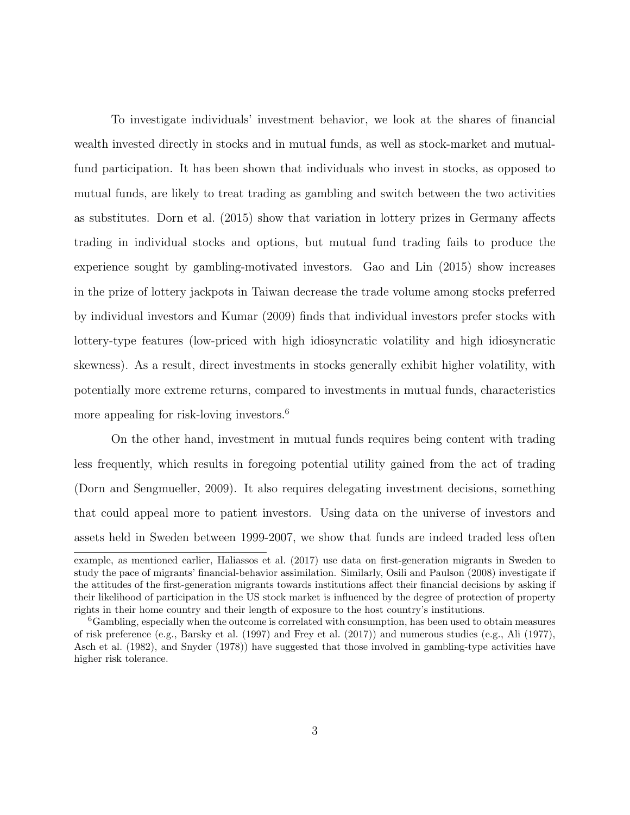To investigate individuals' investment behavior, we look at the shares of financial wealth invested directly in stocks and in mutual funds, as well as stock-market and mutualfund participation. It has been shown that individuals who invest in stocks, as opposed to mutual funds, are likely to treat trading as gambling and switch between the two activities as substitutes. [Dorn et al.](#page-49-2) [\(2015\)](#page-49-2) show that variation in lottery prizes in Germany affects trading in individual stocks and options, but mutual fund trading fails to produce the experience sought by gambling-motivated investors. [Gao and Lin](#page-51-4) [\(2015\)](#page-51-4) show increases in the prize of lottery jackpots in Taiwan decrease the trade volume among stocks preferred by individual investors and [Kumar](#page-53-1) [\(2009\)](#page-53-1) finds that individual investors prefer stocks with lottery-type features (low-priced with high idiosyncratic volatility and high idiosyncratic skewness). As a result, direct investments in stocks generally exhibit higher volatility, with potentially more extreme returns, compared to investments in mutual funds, characteristics more appealing for risk-loving investors.<sup>[6](#page-3-0)</sup>

On the other hand, investment in mutual funds requires being content with trading less frequently, which results in foregoing potential utility gained from the act of trading [\(Dorn and Sengmueller, 2009\)](#page-50-3). It also requires delegating investment decisions, something that could appeal more to patient investors. Using data on the universe of investors and assets held in Sweden between 1999-2007, we show that funds are indeed traded less often

example, as mentioned earlier, [Haliassos et al.](#page-52-1) [\(2017\)](#page-52-1) use data on first-generation migrants in Sweden to study the pace of migrants' financial-behavior assimilation. Similarly, [Osili and Paulson](#page-53-2) [\(2008\)](#page-53-2) investigate if the attitudes of the first-generation migrants towards institutions affect their financial decisions by asking if their likelihood of participation in the US stock market is influenced by the degree of protection of property rights in their home country and their length of exposure to the host country's institutions.

<span id="page-3-0"></span><sup>6</sup>Gambling, especially when the outcome is correlated with consumption, has been used to obtain measures of risk preference (e.g., [Barsky et al.](#page-47-2) [\(1997\)](#page-47-2) and [Frey et al.](#page-51-5) [\(2017\)](#page-51-5)) and numerous studies (e.g., [Ali](#page-46-1) [\(1977\)](#page-46-1), [Asch et al.](#page-47-3) [\(1982\)](#page-47-3), and [Snyder](#page-54-1) [\(1978\)](#page-54-1)) have suggested that those involved in gambling-type activities have higher risk tolerance.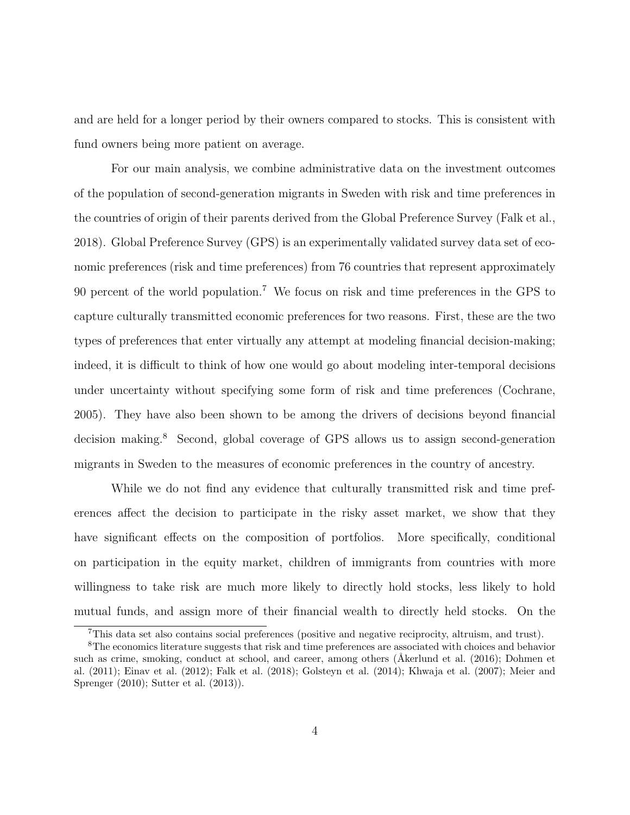and are held for a longer period by their owners compared to stocks. This is consistent with fund owners being more patient on average.

For our main analysis, we combine administrative data on the investment outcomes of the population of second-generation migrants in Sweden with risk and time preferences in the countries of origin of their parents derived from the Global Preference Survey [\(Falk et al.,](#page-50-4) [2018\)](#page-50-4). Global Preference Survey (GPS) is an experimentally validated survey data set of economic preferences (risk and time preferences) from 76 countries that represent approximately 90 percent of the world population.[7](#page-4-0) We focus on risk and time preferences in the GPS to capture culturally transmitted economic preferences for two reasons. First, these are the two types of preferences that enter virtually any attempt at modeling financial decision-making; indeed, it is difficult to think of how one would go about modeling inter-temporal decisions under uncertainty without specifying some form of risk and time preferences [\(Cochrane,](#page-49-3) [2005\)](#page-49-3). They have also been shown to be among the drivers of decisions beyond financial decision making.[8](#page-4-1) Second, global coverage of GPS allows us to assign second-generation migrants in Sweden to the measures of economic preferences in the country of ancestry.

While we do not find any evidence that culturally transmitted risk and time preferences affect the decision to participate in the risky asset market, we show that they have significant effects on the composition of portfolios. More specifically, conditional on participation in the equity market, children of immigrants from countries with more willingness to take risk are much more likely to directly hold stocks, less likely to hold mutual funds, and assign more of their financial wealth to directly held stocks. On the

<span id="page-4-1"></span><span id="page-4-0"></span><sup>7</sup>This data set also contains social preferences (positive and negative reciprocity, altruism, and trust).

<sup>8</sup>The economics literature suggests that risk and time preferences are associated with choices and behavior such as crime, smoking, conduct at school, and career, among others (Åkerlund et al. [\(2016\)](#page-46-2); [Dohmen et](#page-49-4) [al.](#page-49-4) [\(2011\)](#page-49-4); [Einav et al.](#page-50-5) [\(2012\)](#page-50-5); [Falk et al.](#page-50-4) [\(2018\)](#page-50-4); [Golsteyn et al.](#page-52-5) [\(2014\)](#page-52-5); [Khwaja et al.](#page-53-3) [\(2007\)](#page-53-3); [Meier and](#page-53-4) [Sprenger](#page-53-4) [\(2010\)](#page-53-4); [Sutter et al.](#page-54-2) [\(2013\)](#page-54-2)).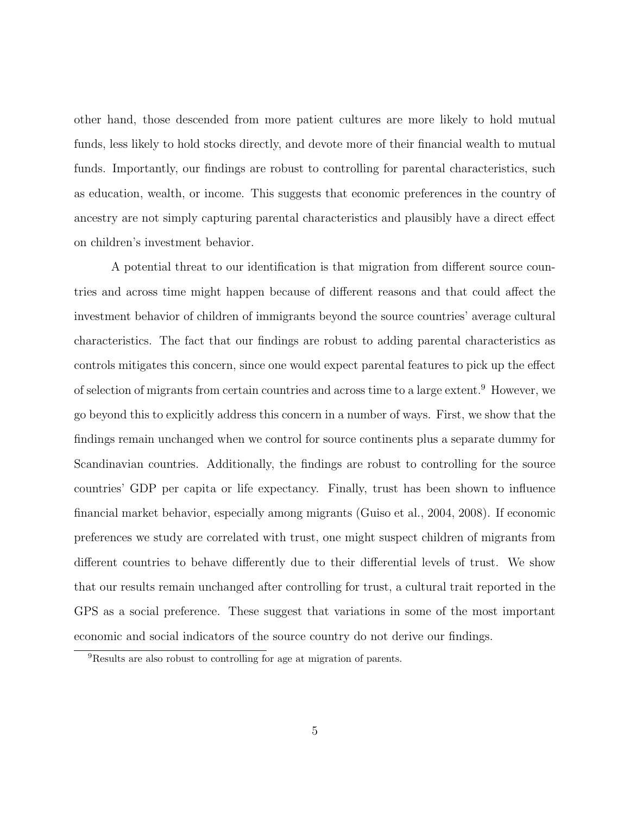other hand, those descended from more patient cultures are more likely to hold mutual funds, less likely to hold stocks directly, and devote more of their financial wealth to mutual funds. Importantly, our findings are robust to controlling for parental characteristics, such as education, wealth, or income. This suggests that economic preferences in the country of ancestry are not simply capturing parental characteristics and plausibly have a direct effect on children's investment behavior.

A potential threat to our identification is that migration from different source countries and across time might happen because of different reasons and that could affect the investment behavior of children of immigrants beyond the source countries' average cultural characteristics. The fact that our findings are robust to adding parental characteristics as controls mitigates this concern, since one would expect parental features to pick up the effect of selection of migrants from certain countries and across time to a large extent.<sup>[9](#page-5-0)</sup> However, we go beyond this to explicitly address this concern in a number of ways. First, we show that the findings remain unchanged when we control for source continents plus a separate dummy for Scandinavian countries. Additionally, the findings are robust to controlling for the source countries' GDP per capita or life expectancy. Finally, trust has been shown to influence financial market behavior, especially among migrants [\(Guiso et al., 2004,](#page-52-6) [2008\)](#page-52-0). If economic preferences we study are correlated with trust, one might suspect children of migrants from different countries to behave differently due to their differential levels of trust. We show that our results remain unchanged after controlling for trust, a cultural trait reported in the GPS as a social preference. These suggest that variations in some of the most important economic and social indicators of the source country do not derive our findings.

<span id="page-5-0"></span><sup>9</sup>Results are also robust to controlling for age at migration of parents.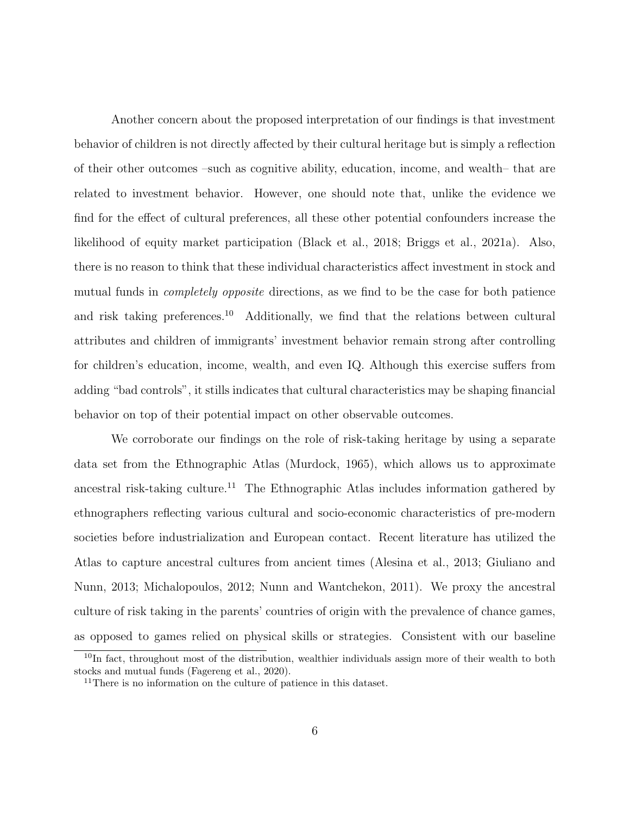Another concern about the proposed interpretation of our findings is that investment behavior of children is not directly affected by their cultural heritage but is simply a reflection of their other outcomes –such as cognitive ability, education, income, and wealth– that are related to investment behavior. However, one should note that, unlike the evidence we find for the effect of cultural preferences, all these other potential confounders increase the likelihood of equity market participation [\(Black et al., 2018;](#page-48-1) [Briggs et al., 2021a\)](#page-48-2). Also, there is no reason to think that these individual characteristics affect investment in stock and mutual funds in completely opposite directions, as we find to be the case for both patience and risk taking preferences.<sup>[10](#page-6-0)</sup> Additionally, we find that the relations between cultural attributes and children of immigrants' investment behavior remain strong after controlling for children's education, income, wealth, and even IQ. Although this exercise suffers from adding "bad controls", it stills indicates that cultural characteristics may be shaping financial behavior on top of their potential impact on other observable outcomes.

We corroborate our findings on the role of risk-taking heritage by using a separate data set from the Ethnographic Atlas [\(Murdock, 1965\)](#page-53-5), which allows us to approximate ancestral risk-taking culture.<sup>[11](#page-6-1)</sup> The Ethnographic Atlas includes information gathered by ethnographers reflecting various cultural and socio-economic characteristics of pre-modern societies before industrialization and European contact. Recent literature has utilized the Atlas to capture ancestral cultures from ancient times [\(Alesina et al., 2013;](#page-46-0) [Giuliano and](#page-51-6) [Nunn, 2013;](#page-51-6) [Michalopoulos, 2012;](#page-53-6) [Nunn and Wantchekon, 2011\)](#page-53-7). We proxy the ancestral culture of risk taking in the parents' countries of origin with the prevalence of chance games, as opposed to games relied on physical skills or strategies. Consistent with our baseline

<span id="page-6-0"></span><sup>&</sup>lt;sup>10</sup>In fact, throughout most of the distribution, wealthier individuals assign more of their wealth to both stocks and mutual funds [\(Fagereng et al., 2020\)](#page-50-6).

<span id="page-6-1"></span> $11$ There is no information on the culture of patience in this dataset.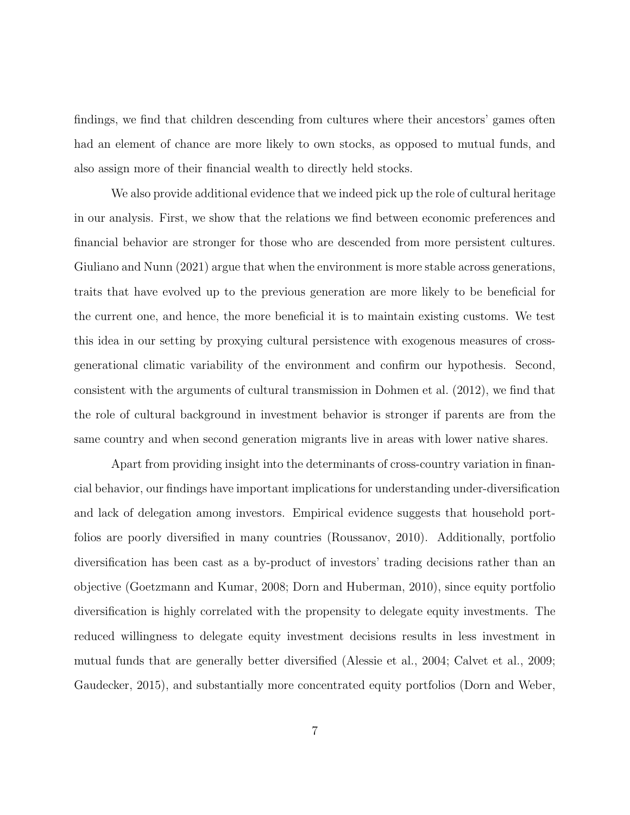findings, we find that children descending from cultures where their ancestors' games often had an element of chance are more likely to own stocks, as opposed to mutual funds, and also assign more of their financial wealth to directly held stocks.

We also provide additional evidence that we indeed pick up the role of cultural heritage in our analysis. First, we show that the relations we find between economic preferences and financial behavior are stronger for those who are descended from more persistent cultures. [Giuliano and Nunn](#page-52-7) [\(2021\)](#page-52-7) argue that when the environment is more stable across generations, traits that have evolved up to the previous generation are more likely to be beneficial for the current one, and hence, the more beneficial it is to maintain existing customs. We test this idea in our setting by proxying cultural persistence with exogenous measures of crossgenerational climatic variability of the environment and confirm our hypothesis. Second, consistent with the arguments of cultural transmission in [Dohmen et al.](#page-49-1) [\(2012\)](#page-49-1), we find that the role of cultural background in investment behavior is stronger if parents are from the same country and when second generation migrants live in areas with lower native shares.

Apart from providing insight into the determinants of cross-country variation in financial behavior, our findings have important implications for understanding under-diversification and lack of delegation among investors. Empirical evidence suggests that household portfolios are poorly diversified in many countries [\(Roussanov, 2010\)](#page-53-8). Additionally, portfolio diversification has been cast as a by-product of investors' trading decisions rather than an objective [\(Goetzmann and Kumar, 2008;](#page-52-8) [Dorn and Huberman, 2010\)](#page-49-5), since equity portfolio diversification is highly correlated with the propensity to delegate equity investments. The reduced willingness to delegate equity investment decisions results in less investment in mutual funds that are generally better diversified [\(Alessie et al., 2004;](#page-46-3) [Calvet et al., 2009;](#page-48-3) [Gaudecker, 2015\)](#page-51-7), and substantially more concentrated equity portfolios [\(Dorn and Weber,](#page-50-7)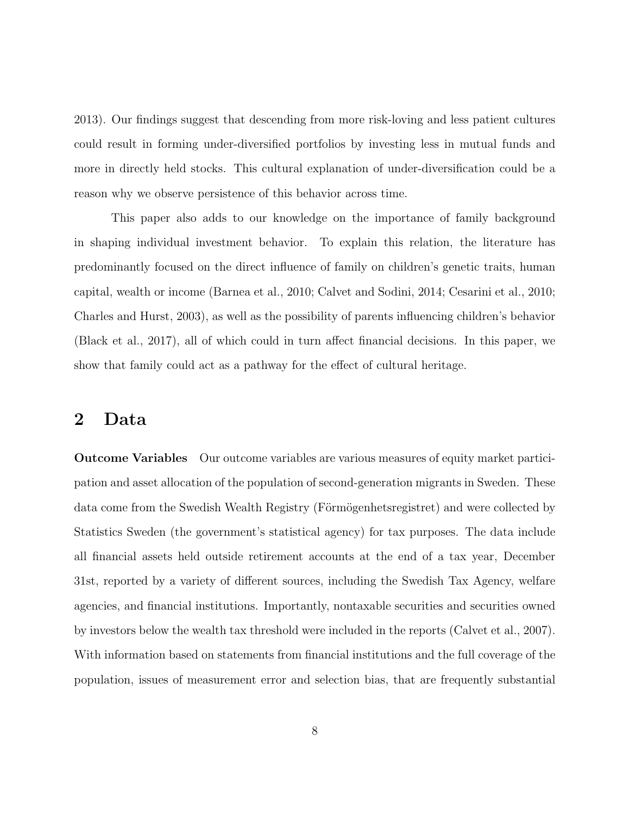[2013\)](#page-50-7). Our findings suggest that descending from more risk-loving and less patient cultures could result in forming under-diversified portfolios by investing less in mutual funds and more in directly held stocks. This cultural explanation of under-diversification could be a reason why we observe persistence of this behavior across time.

This paper also adds to our knowledge on the importance of family background in shaping individual investment behavior. To explain this relation, the literature has predominantly focused on the direct influence of family on children's genetic traits, human capital, wealth or income [\(Barnea et al., 2010;](#page-47-4) [Calvet and Sodini, 2014;](#page-48-4) [Cesarini et al., 2010;](#page-48-5) [Charles and Hurst, 2003\)](#page-48-6), as well as the possibility of parents influencing children's behavior [\(Black et al., 2017\)](#page-47-5), all of which could in turn affect financial decisions. In this paper, we show that family could act as a pathway for the effect of cultural heritage.

### 2 Data

Outcome Variables Our outcome variables are various measures of equity market participation and asset allocation of the population of second-generation migrants in Sweden. These data come from the Swedish Wealth Registry (Förmögenhetsregistret) and were collected by Statistics Sweden (the government's statistical agency) for tax purposes. The data include all financial assets held outside retirement accounts at the end of a tax year, December 31st, reported by a variety of different sources, including the Swedish Tax Agency, welfare agencies, and financial institutions. Importantly, nontaxable securities and securities owned by investors below the wealth tax threshold were included in the reports [\(Calvet et al., 2007\)](#page-48-7). With information based on statements from financial institutions and the full coverage of the population, issues of measurement error and selection bias, that are frequently substantial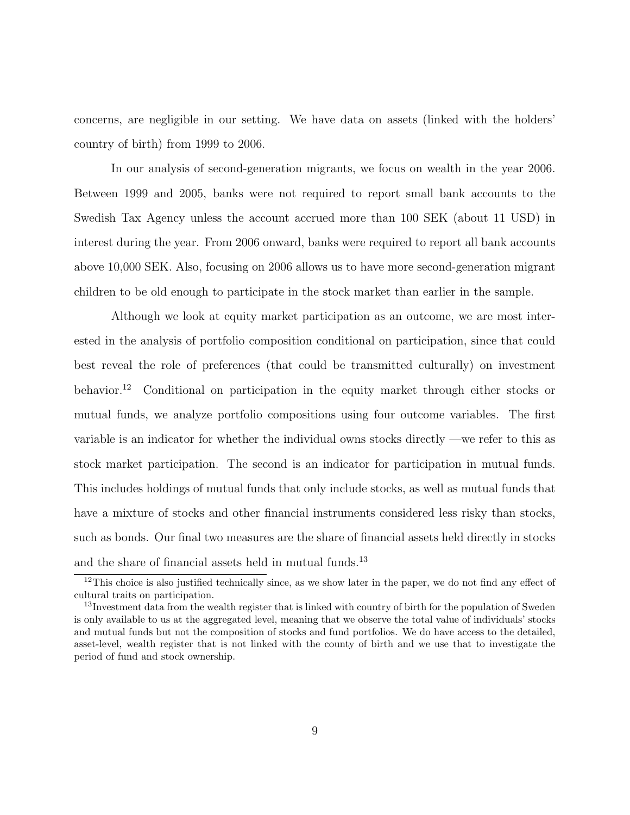concerns, are negligible in our setting. We have data on assets (linked with the holders' country of birth) from 1999 to 2006.

In our analysis of second-generation migrants, we focus on wealth in the year 2006. Between 1999 and 2005, banks were not required to report small bank accounts to the Swedish Tax Agency unless the account accrued more than 100 SEK (about 11 USD) in interest during the year. From 2006 onward, banks were required to report all bank accounts above 10,000 SEK. Also, focusing on 2006 allows us to have more second-generation migrant children to be old enough to participate in the stock market than earlier in the sample.

Although we look at equity market participation as an outcome, we are most interested in the analysis of portfolio composition conditional on participation, since that could best reveal the role of preferences (that could be transmitted culturally) on investment behavior.[12](#page-9-0) Conditional on participation in the equity market through either stocks or mutual funds, we analyze portfolio compositions using four outcome variables. The first variable is an indicator for whether the individual owns stocks directly —we refer to this as stock market participation. The second is an indicator for participation in mutual funds. This includes holdings of mutual funds that only include stocks, as well as mutual funds that have a mixture of stocks and other financial instruments considered less risky than stocks, such as bonds. Our final two measures are the share of financial assets held directly in stocks and the share of financial assets held in mutual funds.<sup>[13](#page-9-1)</sup>

<span id="page-9-0"></span><sup>&</sup>lt;sup>12</sup>This choice is also justified technically since, as we show later in the paper, we do not find any effect of cultural traits on participation.

<span id="page-9-1"></span><sup>&</sup>lt;sup>13</sup>Investment data from the wealth register that is linked with country of birth for the population of Sweden is only available to us at the aggregated level, meaning that we observe the total value of individuals' stocks and mutual funds but not the composition of stocks and fund portfolios. We do have access to the detailed, asset-level, wealth register that is not linked with the county of birth and we use that to investigate the period of fund and stock ownership.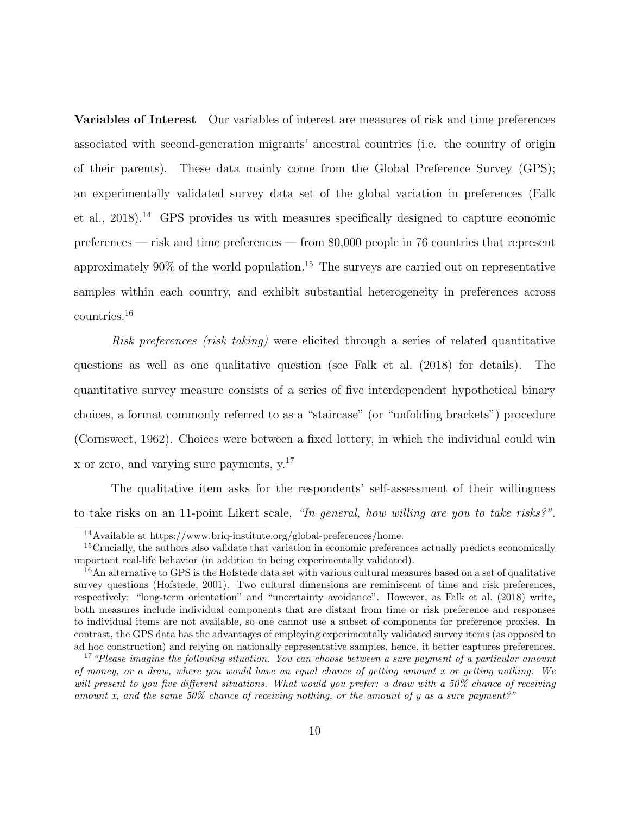Variables of Interest Our variables of interest are measures of risk and time preferences associated with second-generation migrants' ancestral countries (i.e. the country of origin of their parents). These data mainly come from the Global Preference Survey (GPS); an experimentally validated survey data set of the global variation in preferences [\(Falk](#page-50-4) [et al., 2018\)](#page-50-4).[14](#page-10-0) GPS provides us with measures specifically designed to capture economic preferences — risk and time preferences — from 80,000 people in 76 countries that represent approximately  $90\%$  of the world population.<sup>[15](#page-10-1)</sup> The surveys are carried out on representative samples within each country, and exhibit substantial heterogeneity in preferences across countries.[16](#page-10-2)

Risk preferences (risk taking) were elicited through a series of related quantitative questions as well as one qualitative question (see [Falk et al.](#page-50-4) [\(2018\)](#page-50-4) for details). The quantitative survey measure consists of a series of five interdependent hypothetical binary choices, a format commonly referred to as a "staircase" (or "unfolding brackets") procedure [\(Cornsweet, 1962\)](#page-49-6). Choices were between a fixed lottery, in which the individual could win x or zero, and varying sure payments, y.[17](#page-10-3)

The qualitative item asks for the respondents' self-assessment of their willingness to take risks on an 11-point Likert scale, "In general, how willing are you to take risks?".

<span id="page-10-1"></span><span id="page-10-0"></span> $\overline{^{14}\text{Available}}$  at https://www.briq-institute.org/global-preferences/home.

<sup>&</sup>lt;sup>15</sup>Crucially, the authors also validate that variation in economic preferences actually predicts economically important real-life behavior (in addition to being experimentally validated).

<span id="page-10-2"></span><sup>&</sup>lt;sup>16</sup>An alternative to GPS is the Hofstede data set with various cultural measures based on a set of qualitative survey questions [\(Hofstede, 2001\)](#page-53-9). Two cultural dimensions are reminiscent of time and risk preferences, respectively: "long-term orientation" and "uncertainty avoidance". However, as [Falk et al.](#page-50-4) [\(2018\)](#page-50-4) write, both measures include individual components that are distant from time or risk preference and responses to individual items are not available, so one cannot use a subset of components for preference proxies. In contrast, the GPS data has the advantages of employing experimentally validated survey items (as opposed to ad hoc construction) and relying on nationally representative samples, hence, it better captures preferences.

<span id="page-10-3"></span> $17$  "Please imagine the following situation. You can choose between a sure payment of a particular amount of money, or a draw, where you would have an equal chance of getting amount x or getting nothing. We will present to you five different situations. What would you prefer: a draw with a 50% chance of receiving amount x, and the same  $50\%$  chance of receiving nothing, or the amount of y as a sure payment?"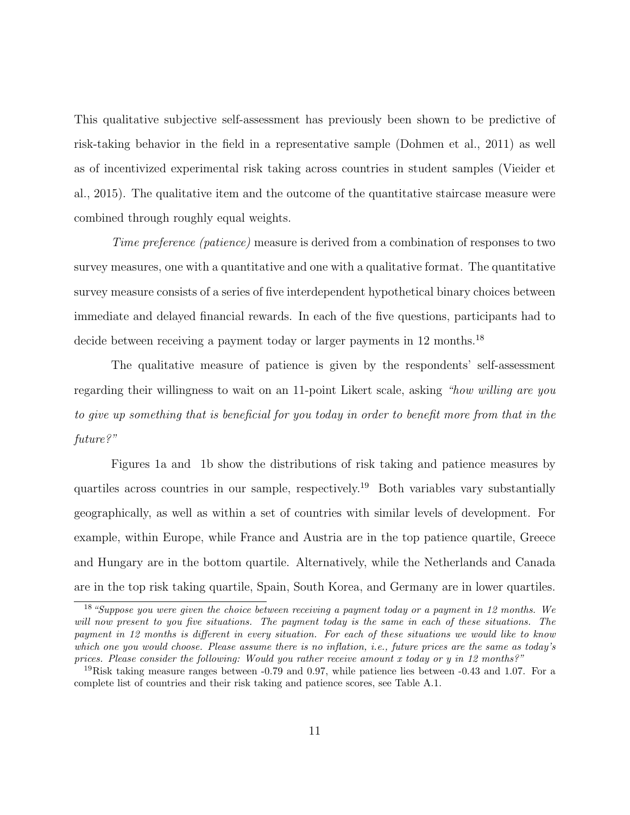This qualitative subjective self-assessment has previously been shown to be predictive of risk-taking behavior in the field in a representative sample [\(Dohmen et al., 2011\)](#page-49-4) as well as of incentivized experimental risk taking across countries in student samples [\(Vieider et](#page-54-3) [al., 2015\)](#page-54-3). The qualitative item and the outcome of the quantitative staircase measure were combined through roughly equal weights.

Time preference (patience) measure is derived from a combination of responses to two survey measures, one with a quantitative and one with a qualitative format. The quantitative survey measure consists of a series of five interdependent hypothetical binary choices between immediate and delayed financial rewards. In each of the five questions, participants had to decide between receiving a payment today or larger payments in 12 months.<sup>[18](#page-11-0)</sup>

The qualitative measure of patience is given by the respondents' self-assessment regarding their willingness to wait on an 11-point Likert scale, asking "how willing are you to give up something that is beneficial for you today in order to benefit more from that in the future?"

Figures [1a](#page-12-0) and [1b](#page-12-0) show the distributions of risk taking and patience measures by quartiles across countries in our sample, respectively.[19](#page-11-1) Both variables vary substantially geographically, as well as within a set of countries with similar levels of development. For example, within Europe, while France and Austria are in the top patience quartile, Greece and Hungary are in the bottom quartile. Alternatively, while the Netherlands and Canada are in the top risk taking quartile, Spain, South Korea, and Germany are in lower quartiles.

<span id="page-11-0"></span><sup>18</sup>"Suppose you were given the choice between receiving a payment today or a payment in 12 months. We will now present to you five situations. The payment today is the same in each of these situations. The payment in 12 months is different in every situation. For each of these situations we would like to know which one you would choose. Please assume there is no inflation, i.e., future prices are the same as today's prices. Please consider the following: Would you rather receive amount x today or  $y$  in 12 months?"

<span id="page-11-1"></span><sup>&</sup>lt;sup>19</sup>Risk taking measure ranges between  $-0.79$  and 0.97, while patience lies between  $-0.43$  and 1.07. For a complete list of countries and their risk taking and patience scores, see Table [A.1.](#page-55-0)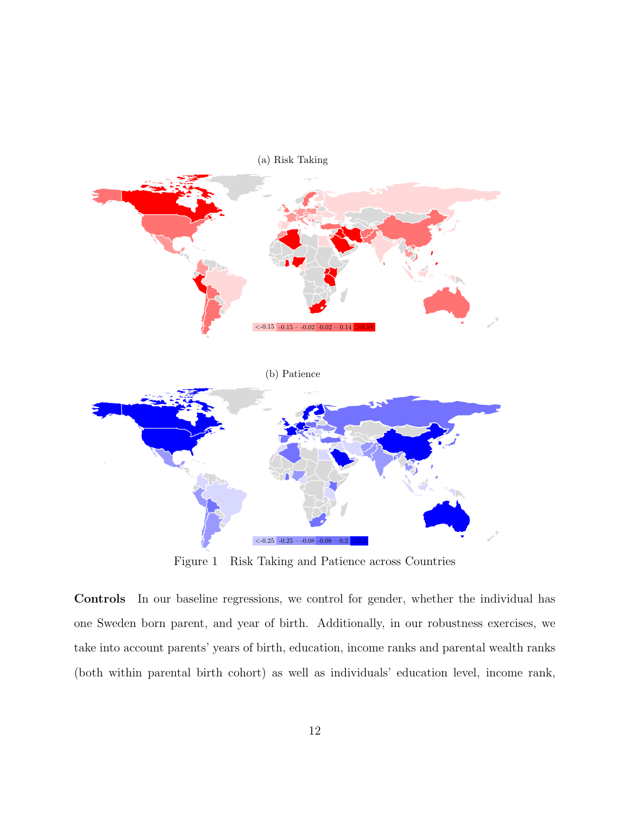<span id="page-12-0"></span>

Figure 1 Risk Taking and Patience across Countries

Controls In our baseline regressions, we control for gender, whether the individual has one Sweden born parent, and year of birth. Additionally, in our robustness exercises, we take into account parents' years of birth, education, income ranks and parental wealth ranks (both within parental birth cohort) as well as individuals' education level, income rank,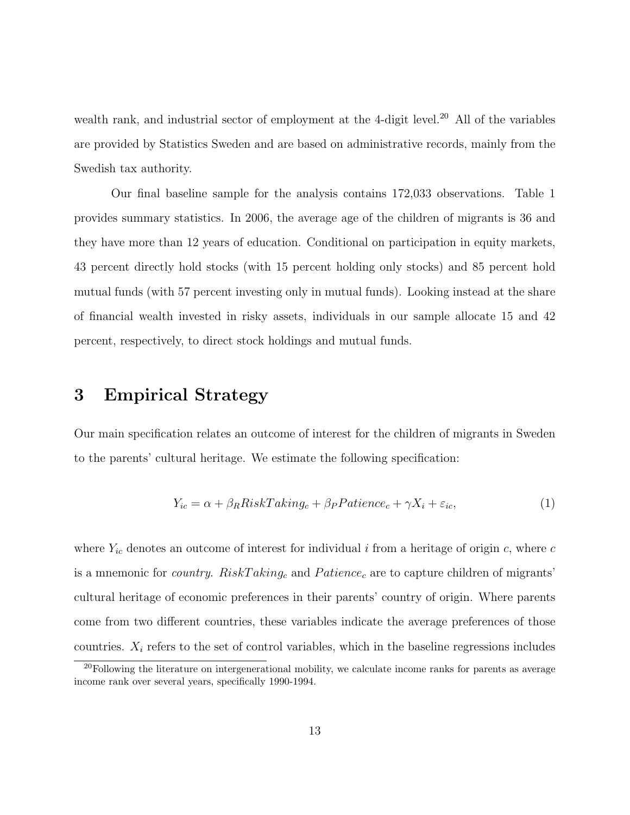wealth rank, and industrial sector of employment at the 4-digit level.<sup>[20](#page-13-0)</sup> All of the variables are provided by Statistics Sweden and are based on administrative records, mainly from the Swedish tax authority.

Our final baseline sample for the analysis contains 172,033 observations. Table [1](#page-14-0) provides summary statistics. In 2006, the average age of the children of migrants is 36 and they have more than 12 years of education. Conditional on participation in equity markets, 43 percent directly hold stocks (with 15 percent holding only stocks) and 85 percent hold mutual funds (with 57 percent investing only in mutual funds). Looking instead at the share of financial wealth invested in risky assets, individuals in our sample allocate 15 and 42 percent, respectively, to direct stock holdings and mutual funds.

## 3 Empirical Strategy

Our main specification relates an outcome of interest for the children of migrants in Sweden to the parents' cultural heritage. We estimate the following specification:

$$
Y_{ic} = \alpha + \beta_R RiskTaking_c + \beta_P Patience_c + \gamma X_i + \varepsilon_{ic},\tag{1}
$$

where  $Y_{ic}$  denotes an outcome of interest for individual i from a heritage of origin c, where c is a mnemonic for *country.* RiskTaking<sub>c</sub> and Patience<sub>c</sub> are to capture children of migrants' cultural heritage of economic preferences in their parents' country of origin. Where parents come from two different countries, these variables indicate the average preferences of those countries.  $X_i$  refers to the set of control variables, which in the baseline regressions includes

<span id="page-13-0"></span> $^{20}$ Following the literature on intergenerational mobility, we calculate income ranks for parents as average income rank over several years, specifically 1990-1994.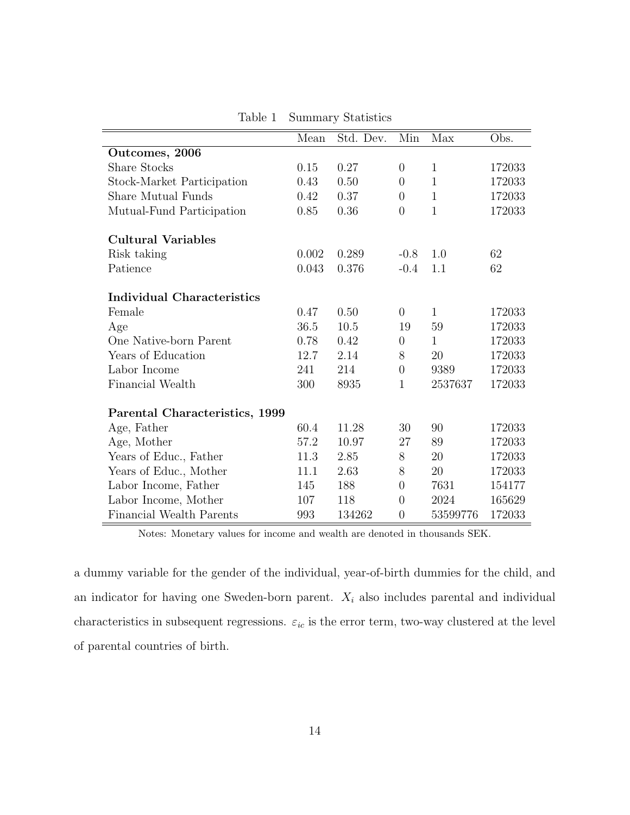<span id="page-14-0"></span>

|                                   | Mean  | Std. Dev. | Min              | Max          | Obs.   |
|-----------------------------------|-------|-----------|------------------|--------------|--------|
| Outcomes, 2006                    |       |           |                  |              |        |
| <b>Share Stocks</b>               | 0.15  | 0.27      | $\overline{0}$   | $\mathbf{1}$ | 172033 |
| Stock-Market Participation        | 0.43  | 0.50      | $\overline{0}$   | $\mathbf{1}$ | 172033 |
| Share Mutual Funds                | 0.42  | 0.37      | $\overline{0}$   | $\mathbf{1}$ | 172033 |
| Mutual-Fund Participation         | 0.85  | 0.36      | $\overline{0}$   | $\mathbf{1}$ | 172033 |
| <b>Cultural Variables</b>         |       |           |                  |              |        |
| Risk taking                       | 0.002 | 0.289     | $-0.8$           | 1.0          | 62     |
| Patience                          | 0.043 | 0.376     | $-0.4$           | 1.1          | 62     |
| <b>Individual Characteristics</b> |       |           |                  |              |        |
| Female                            | 0.47  | 0.50      | $\overline{0}$   | $\mathbf{1}$ | 172033 |
| Age                               | 36.5  | $10.5\,$  | 19               | $59\,$       | 172033 |
| One Native-born Parent            | 0.78  | 0.42      | $\boldsymbol{0}$ | $\mathbf{1}$ | 172033 |
| Years of Education                | 12.7  | 2.14      | 8                | 20           | 172033 |
| Labor Income                      | 241   | 214       | $\overline{0}$   | 9389         | 172033 |
| Financial Wealth                  | 300   | 8935      | $\mathbf{1}$     | 2537637      | 172033 |
| Parental Characteristics, 1999    |       |           |                  |              |        |
| Age, Father                       | 60.4  | 11.28     | 30               | 90           | 172033 |
| Age, Mother                       | 57.2  | 10.97     | 27               | 89           | 172033 |
| Years of Educ., Father            | 11.3  | 2.85      | 8                | 20           | 172033 |
| Years of Educ., Mother            | 11.1  | 2.63      | $8\,$            | 20           | 172033 |
| Labor Income, Father              | 145   | 188       | $\overline{0}$   | 7631         | 154177 |
| Labor Income, Mother              | 107   | 118       | $\overline{0}$   | 2024         | 165629 |
| Financial Wealth Parents          | 993   | 134262    | $\overline{0}$   | 53599776     | 172033 |

Table 1 Summary Statistics

Notes: Monetary values for income and wealth are denoted in thousands SEK.

a dummy variable for the gender of the individual, year-of-birth dummies for the child, and an indicator for having one Sweden-born parent.  $X_i$  also includes parental and individual characteristics in subsequent regressions.  $\varepsilon_{ic}$  is the error term, two-way clustered at the level of parental countries of birth.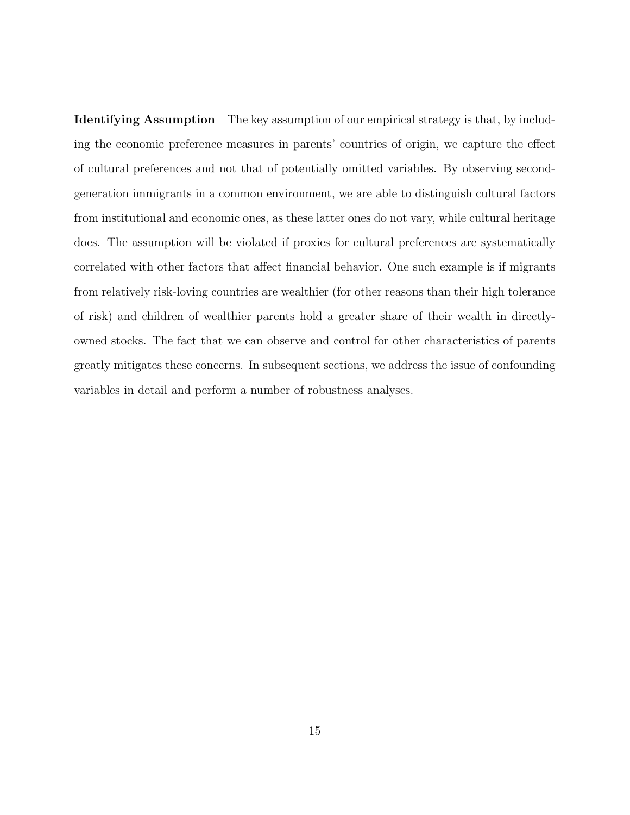Identifying Assumption The key assumption of our empirical strategy is that, by including the economic preference measures in parents' countries of origin, we capture the effect of cultural preferences and not that of potentially omitted variables. By observing secondgeneration immigrants in a common environment, we are able to distinguish cultural factors from institutional and economic ones, as these latter ones do not vary, while cultural heritage does. The assumption will be violated if proxies for cultural preferences are systematically correlated with other factors that affect financial behavior. One such example is if migrants from relatively risk-loving countries are wealthier (for other reasons than their high tolerance of risk) and children of wealthier parents hold a greater share of their wealth in directlyowned stocks. The fact that we can observe and control for other characteristics of parents greatly mitigates these concerns. In subsequent sections, we address the issue of confounding variables in detail and perform a number of robustness analyses.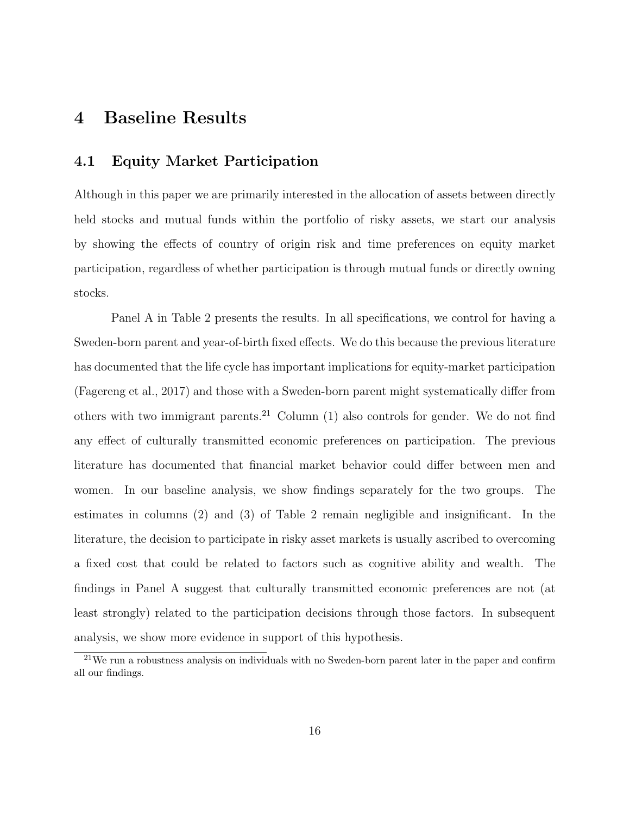## 4 Baseline Results

#### 4.1 Equity Market Participation

Although in this paper we are primarily interested in the allocation of assets between directly held stocks and mutual funds within the portfolio of risky assets, we start our analysis by showing the effects of country of origin risk and time preferences on equity market participation, regardless of whether participation is through mutual funds or directly owning stocks.

Panel A in Table [2](#page-17-0) presents the results. In all specifications, we control for having a Sweden-born parent and year-of-birth fixed effects. We do this because the previous literature has documented that the life cycle has important implications for equity-market participation [\(Fagereng et al., 2017\)](#page-50-8) and those with a Sweden-born parent might systematically differ from others with two immigrant parents.<sup>[21](#page-16-0)</sup> Column  $(1)$  also controls for gender. We do not find any effect of culturally transmitted economic preferences on participation. The previous literature has documented that financial market behavior could differ between men and women. In our baseline analysis, we show findings separately for the two groups. The estimates in columns (2) and (3) of Table [2](#page-17-0) remain negligible and insignificant. In the literature, the decision to participate in risky asset markets is usually ascribed to overcoming a fixed cost that could be related to factors such as cognitive ability and wealth. The findings in Panel A suggest that culturally transmitted economic preferences are not (at least strongly) related to the participation decisions through those factors. In subsequent analysis, we show more evidence in support of this hypothesis.

<span id="page-16-0"></span><sup>21</sup>We run a robustness analysis on individuals with no Sweden-born parent later in the paper and confirm all our findings.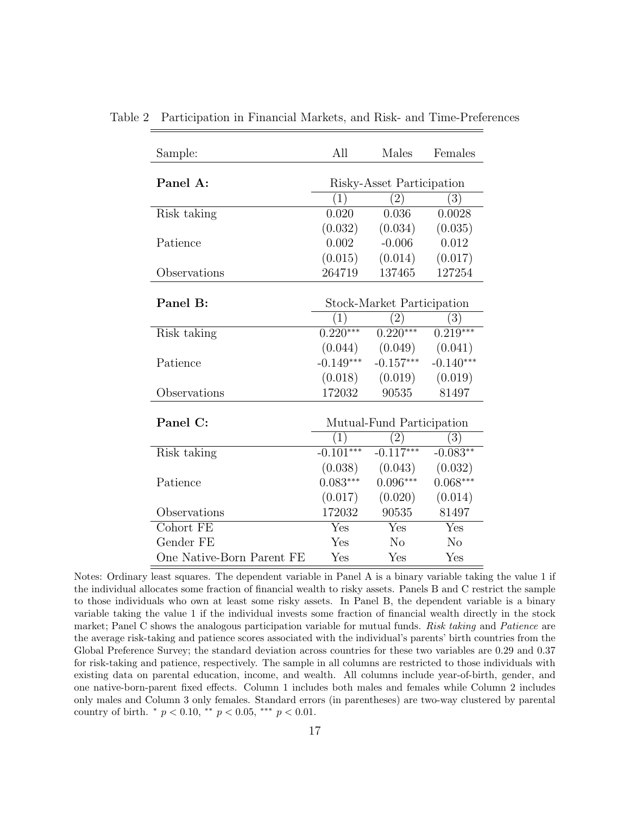| Sample:                   | All          | Males                      | Females           |
|---------------------------|--------------|----------------------------|-------------------|
|                           |              |                            |                   |
| Panel A:                  |              | Risky-Asset Participation  |                   |
|                           | (1)          | $\left( 2\right)$          | $\left( 3\right)$ |
| Risk taking               | 0.020        | 0.036                      | 0.0028            |
|                           | (0.032)      | (0.034)                    | (0.035)           |
| Patience                  | 0.002        | $-0.006$                   | 0.012             |
|                           | (0.015)      | (0.014)                    | (0.017)           |
| Observations              | 264719       | 137465                     | 127254            |
|                           |              |                            |                   |
| Panel B:                  |              | Stock-Market Participation |                   |
|                           | $\mathbb{T}$ | (2)                        | $\left(3\right)$  |
| Risk taking               | $0.220***$   | $0.220***$                 | $0.219***$        |
|                           |              | $(0.044)$ $(0.049)$        | (0.041)           |
| Patience                  | $-0.149***$  | $-0.157***$                | $-0.140***$       |
|                           | (0.018)      | (0.019)                    | (0.019)           |
| Observations              | 172032       | 90535                      | 81497             |
|                           |              |                            |                   |
| Panel C:                  |              | Mutual-Fund Participation  |                   |
|                           | 1            | $\left 2\right\rangle$     | $\left(3\right)$  |
| Risk taking               | $-0.101***$  | $-0.117***$                | $-0.083**$        |
|                           | (0.038)      | (0.043)                    | (0.032)           |
| Patience                  | $0.083***$   | $0.096***$                 | $0.068***$        |
|                           | (0.017)      | (0.020)                    | (0.014)           |
| Observations              | 172032       | 90535                      | 81497             |
| Cohort FE                 | Yes          | Yes                        | Yes               |
| Gender FE                 | Yes          | $\rm No$                   | N <sub>o</sub>    |
| One Native-Born Parent FE | Yes          | Yes                        | Yes               |

<span id="page-17-0"></span>Table 2 Participation in Financial Markets, and Risk- and Time-Preferences

Notes: Ordinary least squares. The dependent variable in Panel A is a binary variable taking the value 1 if the individual allocates some fraction of financial wealth to risky assets. Panels B and C restrict the sample to those individuals who own at least some risky assets. In Panel B, the dependent variable is a binary variable taking the value 1 if the individual invests some fraction of financial wealth directly in the stock market; Panel C shows the analogous participation variable for mutual funds. Risk taking and Patience are the average risk-taking and patience scores associated with the individual's parents' birth countries from the Global Preference Survey; the standard deviation across countries for these two variables are 0.29 and 0.37 for risk-taking and patience, respectively. The sample in all columns are restricted to those individuals with existing data on parental education, income, and wealth. All columns include year-of-birth, gender, and one native-born-parent fixed effects. Column 1 includes both males and females while Column 2 includes only males and Column 3 only females. Standard errors (in parentheses) are two-way clustered by parental country of birth.  $*$   $p < 0.10$ ,  $*$   $p < 0.05$ ,  $*$   $*$   $p < 0.01$ .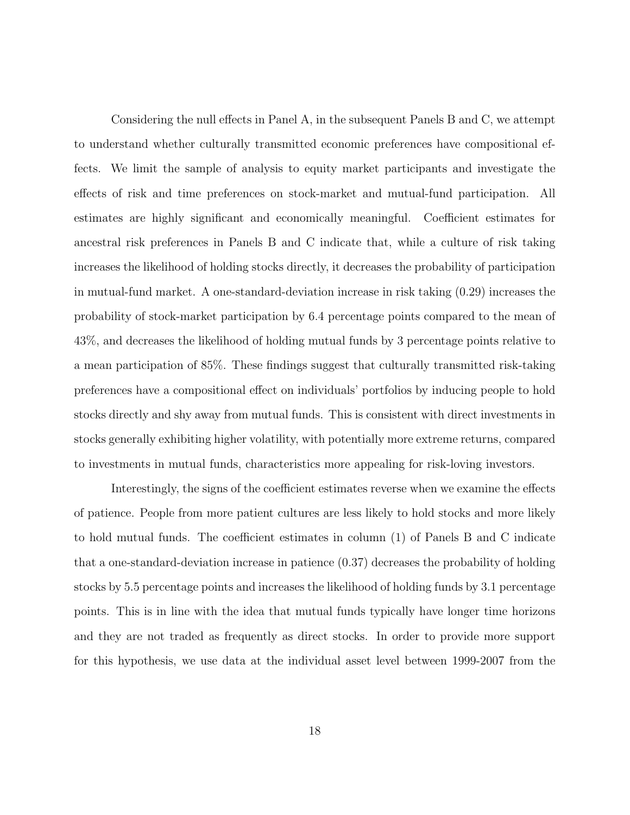Considering the null effects in Panel A, in the subsequent Panels B and C, we attempt to understand whether culturally transmitted economic preferences have compositional effects. We limit the sample of analysis to equity market participants and investigate the effects of risk and time preferences on stock-market and mutual-fund participation. All estimates are highly significant and economically meaningful. Coefficient estimates for ancestral risk preferences in Panels B and C indicate that, while a culture of risk taking increases the likelihood of holding stocks directly, it decreases the probability of participation in mutual-fund market. A one-standard-deviation increase in risk taking (0.29) increases the probability of stock-market participation by 6.4 percentage points compared to the mean of 43%, and decreases the likelihood of holding mutual funds by 3 percentage points relative to a mean participation of 85%. These findings suggest that culturally transmitted risk-taking preferences have a compositional effect on individuals' portfolios by inducing people to hold stocks directly and shy away from mutual funds. This is consistent with direct investments in stocks generally exhibiting higher volatility, with potentially more extreme returns, compared to investments in mutual funds, characteristics more appealing for risk-loving investors.

Interestingly, the signs of the coefficient estimates reverse when we examine the effects of patience. People from more patient cultures are less likely to hold stocks and more likely to hold mutual funds. The coefficient estimates in column (1) of Panels B and C indicate that a one-standard-deviation increase in patience (0.37) decreases the probability of holding stocks by 5.5 percentage points and increases the likelihood of holding funds by 3.1 percentage points. This is in line with the idea that mutual funds typically have longer time horizons and they are not traded as frequently as direct stocks. In order to provide more support for this hypothesis, we use data at the individual asset level between 1999-2007 from the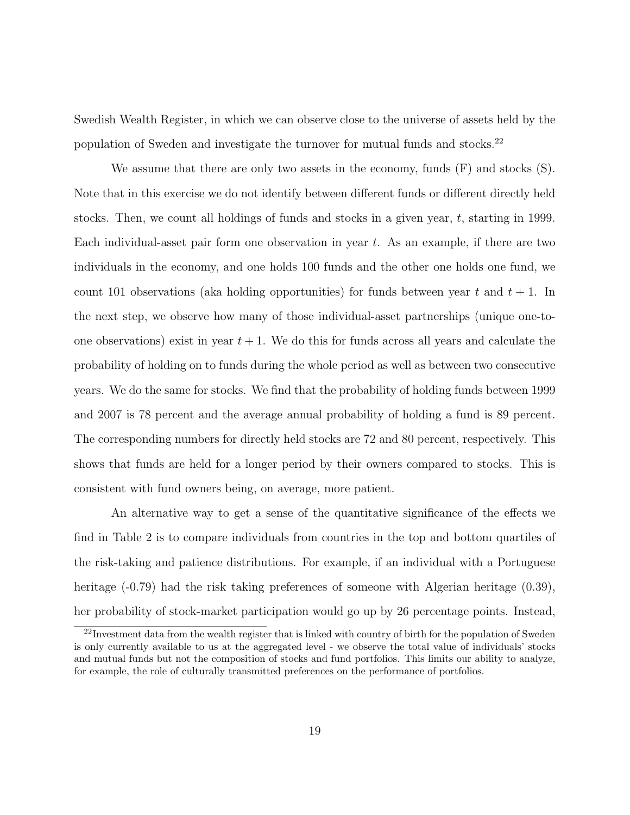Swedish Wealth Register, in which we can observe close to the universe of assets held by the population of Sweden and investigate the turnover for mutual funds and stocks.[22](#page-19-0)

We assume that there are only two assets in the economy, funds  $(F)$  and stocks  $(S)$ . Note that in this exercise we do not identify between different funds or different directly held stocks. Then, we count all holdings of funds and stocks in a given year, t, starting in 1999. Each individual-asset pair form one observation in year  $t$ . As an example, if there are two individuals in the economy, and one holds 100 funds and the other one holds one fund, we count 101 observations (aka holding opportunities) for funds between year t and  $t + 1$ . In the next step, we observe how many of those individual-asset partnerships (unique one-toone observations) exist in year  $t + 1$ . We do this for funds across all years and calculate the probability of holding on to funds during the whole period as well as between two consecutive years. We do the same for stocks. We find that the probability of holding funds between 1999 and 2007 is 78 percent and the average annual probability of holding a fund is 89 percent. The corresponding numbers for directly held stocks are 72 and 80 percent, respectively. This shows that funds are held for a longer period by their owners compared to stocks. This is consistent with fund owners being, on average, more patient.

An alternative way to get a sense of the quantitative significance of the effects we find in Table [2](#page-17-0) is to compare individuals from countries in the top and bottom quartiles of the risk-taking and patience distributions. For example, if an individual with a Portuguese heritage (-0.79) had the risk taking preferences of someone with Algerian heritage (0.39), her probability of stock-market participation would go up by 26 percentage points. Instead,

<span id="page-19-0"></span><sup>&</sup>lt;sup>22</sup>Investment data from the wealth register that is linked with country of birth for the population of Sweden is only currently available to us at the aggregated level - we observe the total value of individuals' stocks and mutual funds but not the composition of stocks and fund portfolios. This limits our ability to analyze, for example, the role of culturally transmitted preferences on the performance of portfolios.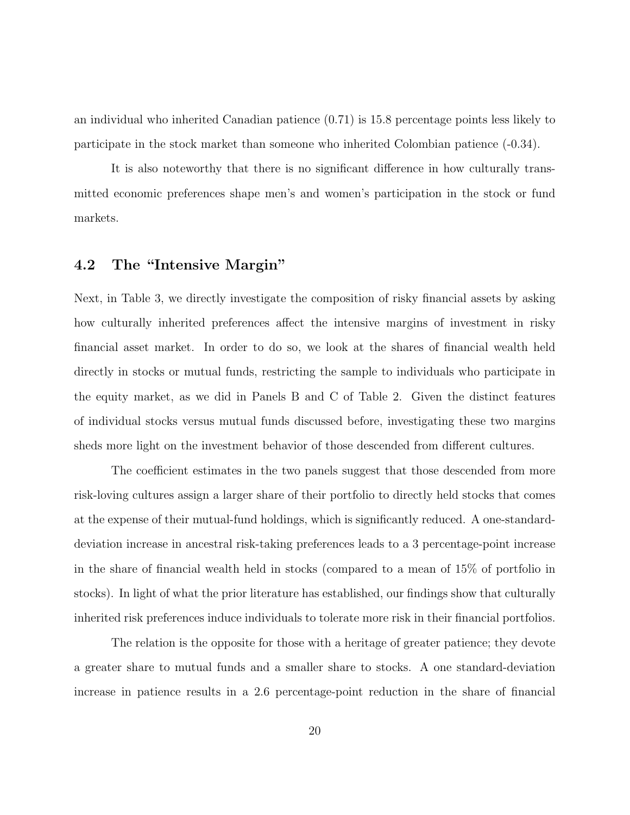an individual who inherited Canadian patience (0.71) is 15.8 percentage points less likely to participate in the stock market than someone who inherited Colombian patience (-0.34).

It is also noteworthy that there is no significant difference in how culturally transmitted economic preferences shape men's and women's participation in the stock or fund markets.

## 4.2 The "Intensive Margin"

Next, in Table [3,](#page-21-0) we directly investigate the composition of risky financial assets by asking how culturally inherited preferences affect the intensive margins of investment in risky financial asset market. In order to do so, we look at the shares of financial wealth held directly in stocks or mutual funds, restricting the sample to individuals who participate in the equity market, as we did in Panels B and C of Table [2.](#page-17-0) Given the distinct features of individual stocks versus mutual funds discussed before, investigating these two margins sheds more light on the investment behavior of those descended from different cultures.

The coefficient estimates in the two panels suggest that those descended from more risk-loving cultures assign a larger share of their portfolio to directly held stocks that comes at the expense of their mutual-fund holdings, which is significantly reduced. A one-standarddeviation increase in ancestral risk-taking preferences leads to a 3 percentage-point increase in the share of financial wealth held in stocks (compared to a mean of 15% of portfolio in stocks). In light of what the prior literature has established, our findings show that culturally inherited risk preferences induce individuals to tolerate more risk in their financial portfolios.

The relation is the opposite for those with a heritage of greater patience; they devote a greater share to mutual funds and a smaller share to stocks. A one standard-deviation increase in patience results in a 2.6 percentage-point reduction in the share of financial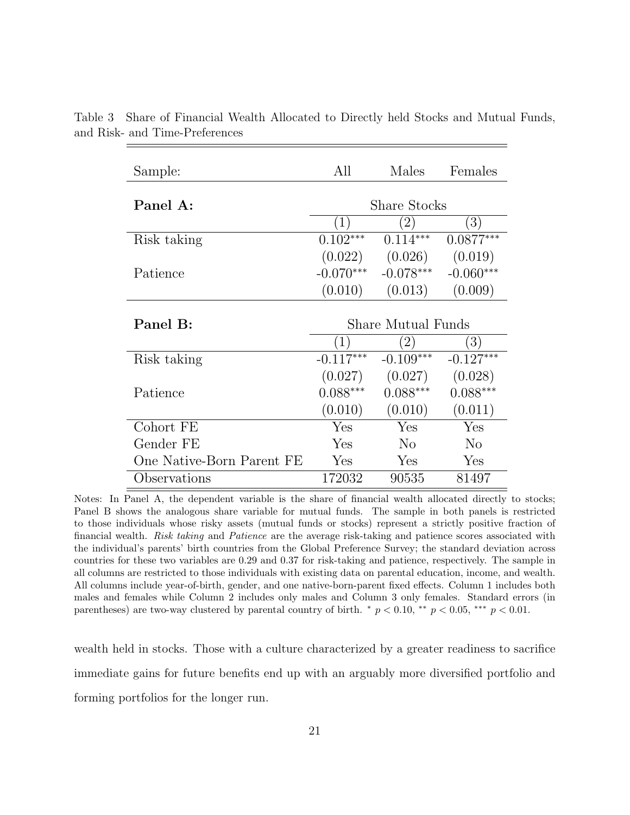| Sample:                   | All                 | Males              | Females          |  |  |
|---------------------------|---------------------|--------------------|------------------|--|--|
| Panel A:                  | <b>Share Stocks</b> |                    |                  |  |  |
|                           | (1)                 | $2^{\circ}$        | $\left(3\right)$ |  |  |
| Risk taking               | $0.102***$          | $0.114***$         | $0.0877***$      |  |  |
|                           | (0.022)             | (0.026)            | (0.019)          |  |  |
| Patience                  | $-0.070***$         | $-0.078***$        | $-0.060***$      |  |  |
|                           | (0.010)             | (0.013)            | (0.009)          |  |  |
| Panel B:                  |                     | Share Mutual Funds |                  |  |  |
|                           | (1)                 | $\left(2\right)$   | 3)               |  |  |
| Risk taking               | $-0.117***$         | $-0.109***$        | $-0.127***$      |  |  |
|                           | (0.027)             | (0.027)            | (0.028)          |  |  |
| Patience                  | $0.088***$          | $0.088***$         | $0.088***$       |  |  |
|                           | (0.010)             | (0.010)            | (0.011)          |  |  |
| Cohort FE                 | Yes                 | Yes                | Yes              |  |  |
| Gender FE                 | Yes                 | $\rm No$           | $\rm No$         |  |  |
| One Native-Born Parent FE | Yes                 | Yes                | Yes              |  |  |
| Observations              | 172032              | 90535              | 81497            |  |  |

<span id="page-21-0"></span>Table 3 Share of Financial Wealth Allocated to Directly held Stocks and Mutual Funds, and Risk- and Time-Preferences

Notes: In Panel A, the dependent variable is the share of financial wealth allocated directly to stocks; Panel B shows the analogous share variable for mutual funds. The sample in both panels is restricted to those individuals whose risky assets (mutual funds or stocks) represent a strictly positive fraction of financial wealth. Risk taking and Patience are the average risk-taking and patience scores associated with the individual's parents' birth countries from the Global Preference Survey; the standard deviation across countries for these two variables are 0.29 and 0.37 for risk-taking and patience, respectively. The sample in all columns are restricted to those individuals with existing data on parental education, income, and wealth. All columns include year-of-birth, gender, and one native-born-parent fixed effects. Column 1 includes both males and females while Column 2 includes only males and Column 3 only females. Standard errors (in parentheses) are two-way clustered by parental country of birth.  $\dot{p}$  = 0.10,  $\dot{p}$  = 0.05,  $\dot{p}$  = 0.01.

wealth held in stocks. Those with a culture characterized by a greater readiness to sacrifice immediate gains for future benefits end up with an arguably more diversified portfolio and forming portfolios for the longer run.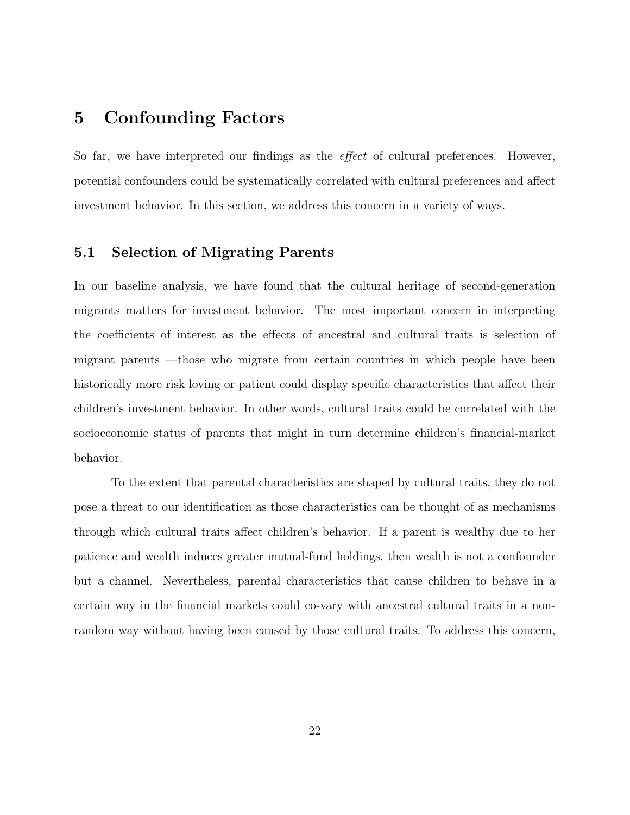## 5 Confounding Factors

So far, we have interpreted our findings as the *effect* of cultural preferences. However, potential confounders could be systematically correlated with cultural preferences and affect investment behavior. In this section, we address this concern in a variety of ways.

#### 5.1 Selection of Migrating Parents

In our baseline analysis, we have found that the cultural heritage of second-generation migrants matters for investment behavior. The most important concern in interpreting the coefficients of interest as the effects of ancestral and cultural traits is selection of migrant parents —those who migrate from certain countries in which people have been historically more risk loving or patient could display specific characteristics that affect their children's investment behavior. In other words, cultural traits could be correlated with the socioeconomic status of parents that might in turn determine children's financial-market behavior.

To the extent that parental characteristics are shaped by cultural traits, they do not pose a threat to our identification as those characteristics can be thought of as mechanisms through which cultural traits affect children's behavior. If a parent is wealthy due to her patience and wealth induces greater mutual-fund holdings, then wealth is not a confounder but a channel. Nevertheless, parental characteristics that cause children to behave in a certain way in the financial markets could co-vary with ancestral cultural traits in a nonrandom way without having been caused by those cultural traits. To address this concern,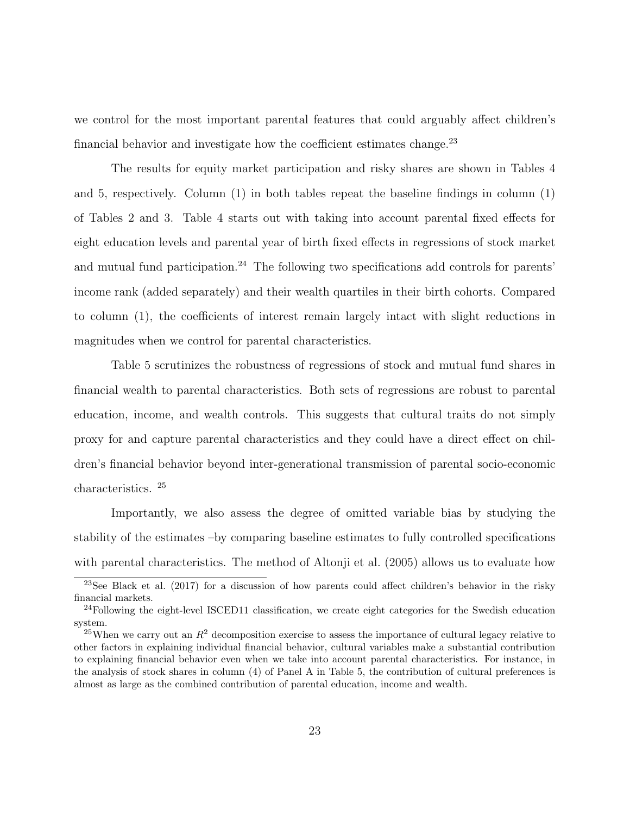we control for the most important parental features that could arguably affect children's financial behavior and investigate how the coefficient estimates change. $^{23}$  $^{23}$  $^{23}$ 

The results for equity market participation and risky shares are shown in Tables [4](#page-24-0) and [5,](#page-25-0) respectively. Column (1) in both tables repeat the baseline findings in column (1) of Tables [2](#page-17-0) and [3.](#page-21-0) Table [4](#page-24-0) starts out with taking into account parental fixed effects for eight education levels and parental year of birth fixed effects in regressions of stock market and mutual fund participation.<sup>[24](#page-23-1)</sup> The following two specifications add controls for parents' income rank (added separately) and their wealth quartiles in their birth cohorts. Compared to column (1), the coefficients of interest remain largely intact with slight reductions in magnitudes when we control for parental characteristics.

Table [5](#page-25-0) scrutinizes the robustness of regressions of stock and mutual fund shares in financial wealth to parental characteristics. Both sets of regressions are robust to parental education, income, and wealth controls. This suggests that cultural traits do not simply proxy for and capture parental characteristics and they could have a direct effect on children's financial behavior beyond inter-generational transmission of parental socio-economic characteristics. [25](#page-23-2)

Importantly, we also assess the degree of omitted variable bias by studying the stability of the estimates –by comparing baseline estimates to fully controlled specifications with parental characteristics. The method of [Altonji et al.](#page-46-4) [\(2005\)](#page-46-4) allows us to evaluate how

<span id="page-23-0"></span><sup>23</sup>See [Black et al.](#page-47-5) [\(2017\)](#page-47-5) for a discussion of how parents could affect children's behavior in the risky financial markets.

<span id="page-23-1"></span><sup>&</sup>lt;sup>24</sup>Following the eight-level ISCED11 classification, we create eight categories for the Swedish education system.

<span id="page-23-2"></span><sup>&</sup>lt;sup>25</sup>When we carry out an  $R^2$  decomposition exercise to assess the importance of cultural legacy relative to other factors in explaining individual financial behavior, cultural variables make a substantial contribution to explaining financial behavior even when we take into account parental characteristics. For instance, in the analysis of stock shares in column (4) of Panel A in Table [5,](#page-25-0) the contribution of cultural preferences is almost as large as the combined contribution of parental education, income and wealth.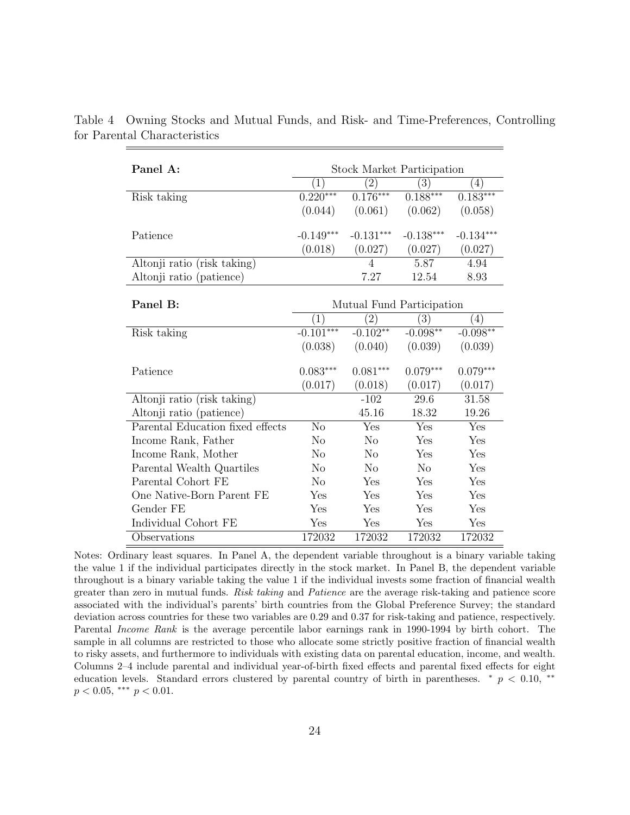| Panel A:                         | <b>Stock Market Participation</b> |                           |                  |             |  |  |
|----------------------------------|-----------------------------------|---------------------------|------------------|-------------|--|--|
|                                  | $\left( 1\right)$                 | $\left( 2\right)$         | $\overline{(3)}$ | (4)         |  |  |
| Risk taking                      | $0.220***$                        | $0.176***$                | $0.188***$       | $0.183***$  |  |  |
|                                  | (0.044)                           | (0.061)                   | (0.062)          | (0.058)     |  |  |
| Patience                         | $-0.149***$                       | $-0.131***$               | $-0.138***$      | $-0.134***$ |  |  |
|                                  | (0.018)                           | (0.027)                   | (0.027)          | (0.027)     |  |  |
| Altonji ratio (risk taking)      |                                   | 4                         | 5.87             | 4.94        |  |  |
| Altonji ratio (patience)         |                                   | 7.27                      | 12.54            | 8.93        |  |  |
|                                  |                                   |                           |                  |             |  |  |
| Panel B:                         |                                   | Mutual Fund Participation |                  |             |  |  |
|                                  | (1)                               | $\left( 2\right)$         | (3)              | (4)         |  |  |
| Risk taking                      | $-0.101***$                       | $-0.102**$                | $-0.098***$      | $-0.098**$  |  |  |
|                                  | (0.038)                           | (0.040)                   | (0.039)          | (0.039)     |  |  |
| Patience                         | $0.083***$                        | $0.081***$                | $0.079***$       | $0.079***$  |  |  |
|                                  | (0.017)                           | (0.018)                   | (0.017)          | (0.017)     |  |  |
| Altonji ratio (risk taking)      |                                   | $-102$                    | 29.6             | 31.58       |  |  |
| Altonji ratio (patience)         |                                   | 45.16                     | 18.32            | 19.26       |  |  |
| Parental Education fixed effects | N <sub>o</sub>                    | Yes                       | Yes              | Yes         |  |  |
| Income Rank, Father              | No                                | N <sub>o</sub>            | Yes              | Yes         |  |  |
| Income Rank, Mother              | N <sub>o</sub>                    | N <sub>o</sub>            | Yes              | Yes         |  |  |
| Parental Wealth Quartiles        | No                                | No                        | N <sub>o</sub>   | Yes         |  |  |
| Parental Cohort FE               | N <sub>o</sub>                    | Yes                       | Yes              | Yes         |  |  |
| One Native-Born Parent FE        | Yes                               | Yes                       | Yes              | Yes         |  |  |
| Gender FE                        | Yes                               | Yes                       | Yes              | Yes         |  |  |
| Individual Cohort FE             | Yes                               | Yes                       | Yes              | Yes         |  |  |
| Observations                     | 172032                            | 172032                    | 172032           | 172032      |  |  |

<span id="page-24-0"></span>Table 4 Owning Stocks and Mutual Funds, and Risk- and Time-Preferences, Controlling for Parental Characteristics

Notes: Ordinary least squares. In Panel A, the dependent variable throughout is a binary variable taking the value 1 if the individual participates directly in the stock market. In Panel B, the dependent variable throughout is a binary variable taking the value 1 if the individual invests some fraction of financial wealth greater than zero in mutual funds. Risk taking and Patience are the average risk-taking and patience score associated with the individual's parents' birth countries from the Global Preference Survey; the standard deviation across countries for these two variables are 0.29 and 0.37 for risk-taking and patience, respectively. Parental Income Rank is the average percentile labor earnings rank in 1990-1994 by birth cohort. The sample in all columns are restricted to those who allocate some strictly positive fraction of financial wealth to risky assets, and furthermore to individuals with existing data on parental education, income, and wealth. Columns 2–4 include parental and individual year-of-birth fixed effects and parental fixed effects for eight education levels. Standard errors clustered by parental country of birth in parentheses. <sup>∗</sup> p < 0.10, ∗∗  $p < 0.05$ , \*\*\*  $p < 0.01$ .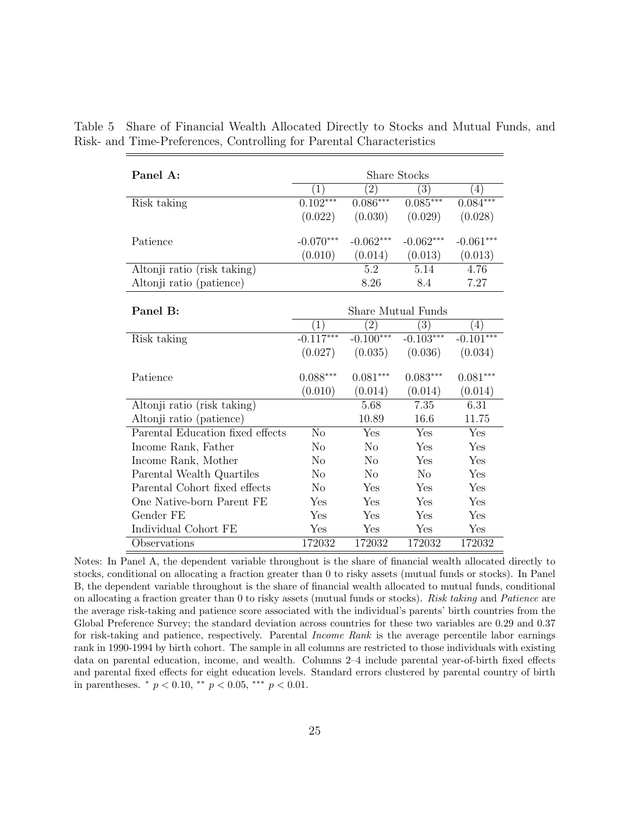| Panel A:                         | Share Stocks     |                 |                           |                  |  |  |  |
|----------------------------------|------------------|-----------------|---------------------------|------------------|--|--|--|
|                                  | $\left(1\right)$ | $\overline{2)}$ | $\left(3\right)$          | $\left(4\right)$ |  |  |  |
| Risk taking                      | $0.102***$       | $0.086***$      | $0.085***$                | $0.084***$       |  |  |  |
|                                  | (0.022)          | (0.030)         | (0.029)                   | (0.028)          |  |  |  |
|                                  |                  |                 |                           |                  |  |  |  |
| Patience                         | $-0.070***$      | $-0.062***$     | $-0.062***$               | $-0.061***$      |  |  |  |
|                                  | (0.010)          | (0.014)         | (0.013)                   | (0.013)          |  |  |  |
| Altonji ratio (risk taking)      |                  | 5.2             | 5.14                      | 4.76             |  |  |  |
| Altonji ratio (patience)         |                  | 8.26            | 8.4                       | 7.27             |  |  |  |
|                                  |                  |                 |                           |                  |  |  |  |
| Panel B:                         |                  |                 | <b>Share Mutual Funds</b> |                  |  |  |  |
|                                  | $\mathbf{1}$     | $^{'}2)$        | $\left(3\right)$          | $\left(4\right)$ |  |  |  |
| Risk taking                      | $-0.117***$      | $-0.100***$     | $-0.103***$               | $-0.101***$      |  |  |  |
|                                  | (0.027)          | (0.035)         | (0.036)                   | (0.034)          |  |  |  |
| Patience                         | $0.088***$       | $0.081***$      | $0.083***$                | $0.081***$       |  |  |  |
|                                  |                  |                 |                           |                  |  |  |  |
|                                  | (0.010)          | (0.014)         | (0.014)                   | (0.014)          |  |  |  |
| Altonji ratio (risk taking)      |                  | 5.68            | 7.35                      | 6.31             |  |  |  |
| Altonji ratio (patience)         |                  | 10.89           | 16.6                      | 11.75            |  |  |  |
| Parental Education fixed effects | N <sub>o</sub>   | Yes             | Yes                       | Yes              |  |  |  |
| Income Rank, Father              | N <sub>o</sub>   | N <sub>o</sub>  | Yes                       | Yes              |  |  |  |
| Income Rank, Mother              | N <sub>o</sub>   | N <sub>0</sub>  | Yes                       | Yes              |  |  |  |
| Parental Wealth Quartiles        | No               | N <sub>0</sub>  | N <sub>0</sub>            | Yes              |  |  |  |
| Parental Cohort fixed effects    | No               | Yes             | Yes                       | Yes              |  |  |  |
| One Native-born Parent FE        | Yes              | Yes             | Yes                       | Yes              |  |  |  |
| Gender FE                        | Yes              | Yes             | Yes                       | Yes              |  |  |  |
| Individual Cohort FE             | Yes              | Yes             | Yes                       | Yes              |  |  |  |
| Observations                     | 172032           | 172032          | 172032                    | 172032           |  |  |  |

<span id="page-25-0"></span>Table 5 Share of Financial Wealth Allocated Directly to Stocks and Mutual Funds, and Risk- and Time-Preferences, Controlling for Parental Characteristics

Notes: In Panel A, the dependent variable throughout is the share of financial wealth allocated directly to stocks, conditional on allocating a fraction greater than 0 to risky assets (mutual funds or stocks). In Panel B, the dependent variable throughout is the share of financial wealth allocated to mutual funds, conditional on allocating a fraction greater than 0 to risky assets (mutual funds or stocks). Risk taking and Patience are the average risk-taking and patience score associated with the individual's parents' birth countries from the Global Preference Survey; the standard deviation across countries for these two variables are 0.29 and 0.37 for risk-taking and patience, respectively. Parental Income Rank is the average percentile labor earnings rank in 1990-1994 by birth cohort. The sample in all columns are restricted to those individuals with existing data on parental education, income, and wealth. Columns 2–4 include parental year-of-birth fixed effects and parental fixed effects for eight education levels. Standard errors clustered by parental country of birth in parentheses.  $*$   $p < 0.10$ ,  $**$   $p < 0.05$ ,  $***$   $p < 0.01$ .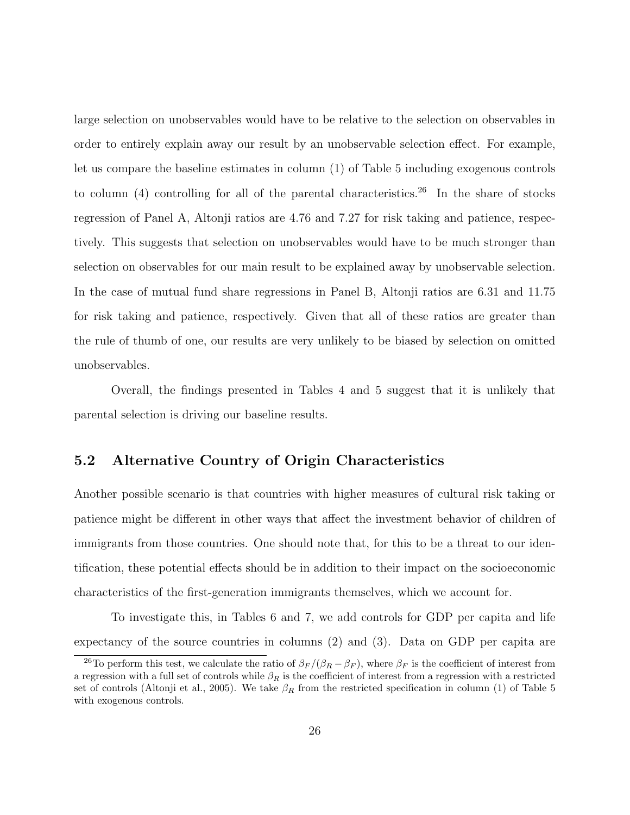large selection on unobservables would have to be relative to the selection on observables in order to entirely explain away our result by an unobservable selection effect. For example, let us compare the baseline estimates in column (1) of Table [5](#page-25-0) including exogenous controls to column  $(4)$  controlling for all of the parental characteristics.<sup>[26](#page-26-0)</sup> In the share of stocks regression of Panel A, Altonji ratios are 4.76 and 7.27 for risk taking and patience, respectively. This suggests that selection on unobservables would have to be much stronger than selection on observables for our main result to be explained away by unobservable selection. In the case of mutual fund share regressions in Panel B, Altonji ratios are 6.31 and 11.75 for risk taking and patience, respectively. Given that all of these ratios are greater than the rule of thumb of one, our results are very unlikely to be biased by selection on omitted unobservables.

Overall, the findings presented in Tables [4](#page-24-0) and [5](#page-25-0) suggest that it is unlikely that parental selection is driving our baseline results.

#### 5.2 Alternative Country of Origin Characteristics

Another possible scenario is that countries with higher measures of cultural risk taking or patience might be different in other ways that affect the investment behavior of children of immigrants from those countries. One should note that, for this to be a threat to our identification, these potential effects should be in addition to their impact on the socioeconomic characteristics of the first-generation immigrants themselves, which we account for.

To investigate this, in Tables [6](#page-28-0) and [7,](#page-29-0) we add controls for GDP per capita and life expectancy of the source countries in columns (2) and (3). Data on GDP per capita are

<span id="page-26-0"></span><sup>&</sup>lt;sup>26</sup>To perform this test, we calculate the ratio of  $\beta_F/(\beta_R - \beta_F)$ , where  $\beta_F$  is the coefficient of interest from a regression with a full set of controls while  $\beta_R$  is the coefficient of interest from a regression with a restricted set of controls [\(Altonji et al., 2005\)](#page-46-4). We take  $\beta_R$  from the restricted specification in column (1) of Table [5](#page-25-0) with exogenous controls.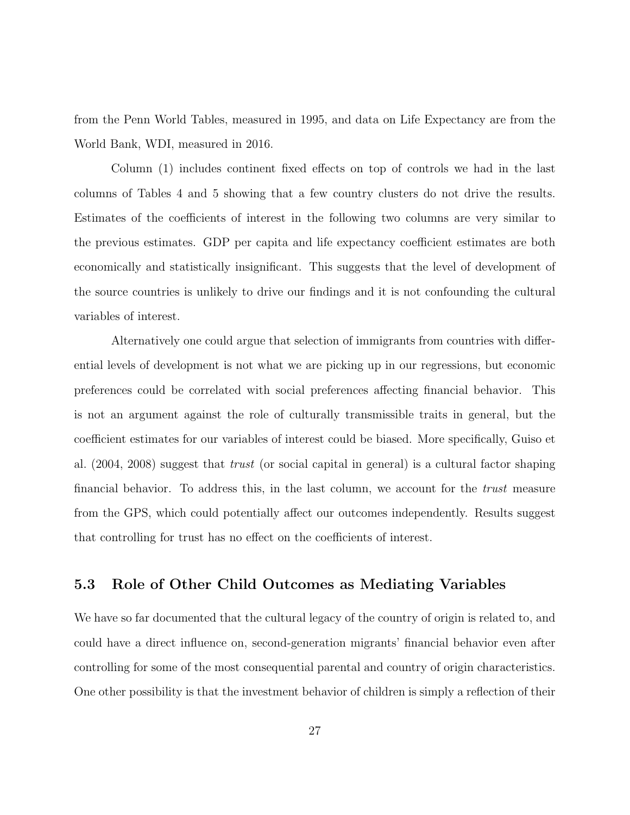from the Penn World Tables, measured in 1995, and data on Life Expectancy are from the World Bank, WDI, measured in 2016.

Column (1) includes continent fixed effects on top of controls we had in the last columns of Tables [4](#page-24-0) and [5](#page-25-0) showing that a few country clusters do not drive the results. Estimates of the coefficients of interest in the following two columns are very similar to the previous estimates. GDP per capita and life expectancy coefficient estimates are both economically and statistically insignificant. This suggests that the level of development of the source countries is unlikely to drive our findings and it is not confounding the cultural variables of interest.

Alternatively one could argue that selection of immigrants from countries with differential levels of development is not what we are picking up in our regressions, but economic preferences could be correlated with social preferences affecting financial behavior. This is not an argument against the role of culturally transmissible traits in general, but the coefficient estimates for our variables of interest could be biased. More specifically, [Guiso et](#page-52-6) [al.](#page-52-6) [\(2004,](#page-52-6) [2008\)](#page-52-0) suggest that trust (or social capital in general) is a cultural factor shaping financial behavior. To address this, in the last column, we account for the *trust* measure from the GPS, which could potentially affect our outcomes independently. Results suggest that controlling for trust has no effect on the coefficients of interest.

#### 5.3 Role of Other Child Outcomes as Mediating Variables

We have so far documented that the cultural legacy of the country of origin is related to, and could have a direct influence on, second-generation migrants' financial behavior even after controlling for some of the most consequential parental and country of origin characteristics. One other possibility is that the investment behavior of children is simply a reflection of their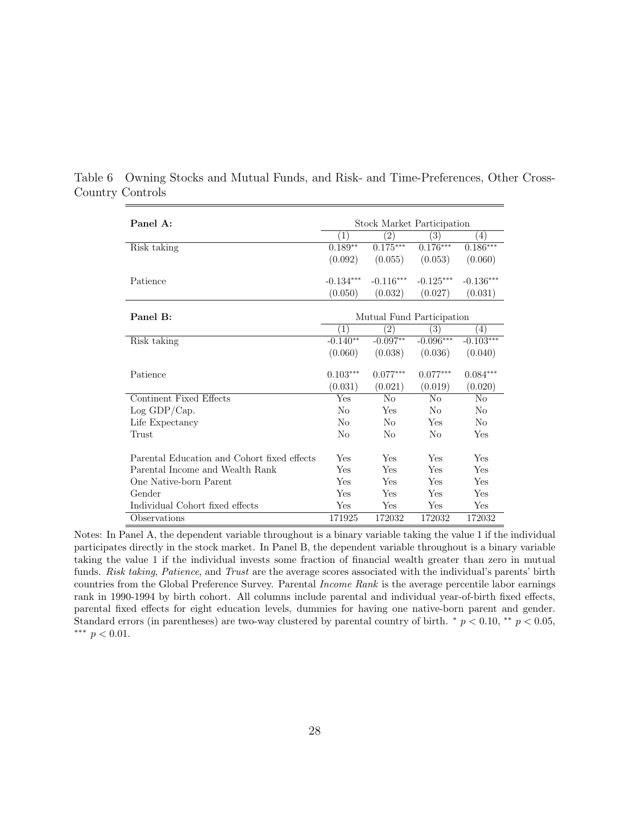| Panel A:                                    | Stock Market Participation |                   |                           |                  |  |
|---------------------------------------------|----------------------------|-------------------|---------------------------|------------------|--|
|                                             | (1)                        | $\left( 2\right)$ | $\overline{(3)}$          | $\left(4\right)$ |  |
| Risk taking                                 | $0.189**$                  | $0.175***$        | $0.176***$                | $0.186***$       |  |
|                                             | (0.092)                    | (0.055)           | (0.053)                   | (0.060)          |  |
|                                             |                            |                   |                           |                  |  |
| Patience                                    | $-0.134***$                | $-0.116***$       | $-0.125***$               | $-0.136***$      |  |
|                                             | (0.050)                    | (0.032)           | (0.027)                   | (0.031)          |  |
|                                             |                            |                   |                           |                  |  |
| Panel B:                                    |                            |                   | Mutual Fund Participation |                  |  |
|                                             | (1)                        | $\left( 2\right)$ | $\left(3\right)$          | $\left(4\right)$ |  |
| Risk taking                                 | $-0.140**$                 | $-0.097**$        | $-0.096***$               | $-0.103***$      |  |
|                                             | (0.060)                    | (0.038)           | (0.036)                   | (0.040)          |  |
|                                             |                            |                   |                           |                  |  |
| Patience                                    | $0.103***$                 | $0.077***$        | $0.077***$                | $0.084***$       |  |
|                                             | (0.031)                    | (0.021)           | (0.019)                   | (0.020)          |  |
| Continent Fixed Effects                     | Yes                        | N <sub>0</sub>    | $\rm No$                  | No               |  |
| Log GDP/Cap.                                | No                         | Yes               | No                        | No               |  |
| Life Expectancy                             | No                         | No                | Yes                       | No               |  |
| Trust                                       | No                         | No                | No                        | Yes              |  |
|                                             |                            |                   |                           |                  |  |
| Parental Education and Cohort fixed effects | Yes                        | Yes               | Yes                       | Yes              |  |
| Parental Income and Wealth Rank             | Yes                        | Yes               | Yes                       | Yes              |  |
| One Native-born Parent                      | Yes                        | Yes               | Yes                       | Yes              |  |
| Gender                                      | Yes                        | Yes               | Yes                       | Yes              |  |
| Individual Cohort fixed effects             | Yes                        | Yes               | Yes                       | Yes              |  |
| Observations                                | 171925                     | 172032            | 172032                    | 172032           |  |

<span id="page-28-0"></span>Table 6 Owning Stocks and Mutual Funds, and Risk- and Time-Preferences, Other Cross-Country Controls

Notes: In Panel A, the dependent variable throughout is a binary variable taking the value 1 if the individual participates directly in the stock market. In Panel B, the dependent variable throughout is a binary variable taking the value 1 if the individual invests some fraction of financial wealth greater than zero in mutual funds. Risk taking, Patience, and Trust are the average scores associated with the individual's parents' birth countries from the Global Preference Survey. Parental Income Rank is the average percentile labor earnings rank in 1990-1994 by birth cohort. All columns include parental and individual year-of-birth fixed effects, parental fixed effects for eight education levels, dummies for having one native-born parent and gender. Standard errors (in parentheses) are two-way clustered by parental country of birth.  $\degree p$  < 0.10,  $\degree \degree p$  < 0.05, ∗∗∗ p < 0.01.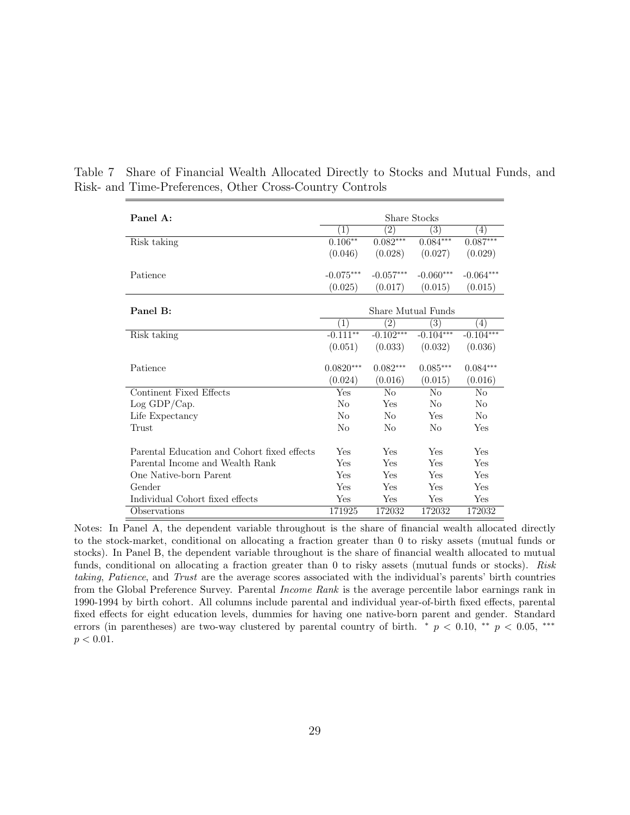| Panel A:<br>Share Stocks                    |                    |                   |                   |                   |
|---------------------------------------------|--------------------|-------------------|-------------------|-------------------|
|                                             |                    |                   |                   |                   |
|                                             | $\left(1\right)$   | $^{(2)}$          | 3)                | $\left( 4\right)$ |
| Risk taking                                 | $0.106***$         | $0.082***$        | $0.084***$        | $0.087***$        |
|                                             | (0.046)            | (0.028)           | (0.027)           | (0.029)           |
|                                             |                    |                   |                   |                   |
| Patience                                    | $-0.075***$        | $-0.057***$       | $-0.060***$       | $-0.064***$       |
|                                             | (0.025)            | (0.017)           | (0.015)           | (0.015)           |
|                                             |                    |                   |                   |                   |
| Panel B:                                    | Share Mutual Funds |                   |                   |                   |
|                                             | (1)                | $\left( 2\right)$ | $\left( 3\right)$ | (4)               |
| Risk taking                                 | $-0.111***$        | $-0.102***$       | $-0.104***$       | $-0.104***$       |
|                                             | (0.051)            | (0.033)           | (0.032)           | (0.036)           |
|                                             |                    |                   |                   |                   |
| Patience                                    | $0.0820***$        | $0.082***$        | $0.085***$        | $0.084***$        |
|                                             | (0.024)            | (0.016)           | (0.015)           | (0.016)           |
| Continent Fixed Effects                     | Yes                | No                | No                | N <sub>0</sub>    |
| Log GDP/Cap.                                | No                 | Yes               | No                | No                |
| Life Expectancy                             | N <sub>0</sub>     | No                | Yes               | No                |
| Trust                                       | N <sub>0</sub>     | No                | No                | Yes               |
|                                             |                    |                   |                   |                   |
| Parental Education and Cohort fixed effects | Yes                | Yes               | Yes               | Yes               |
| Parental Income and Wealth Rank             | Yes                | Yes               | Yes               | Yes               |
| One Native-born Parent                      | Yes                | Yes               | Yes               | Yes               |
| Gender                                      | Yes                | Yes               | Yes               | Yes               |
| Individual Cohort fixed effects             | Yes                | Yes               | Yes               | Yes               |
| Observations                                | 171925             | 172032            | 172032            | 172032            |

<span id="page-29-0"></span>Table 7 Share of Financial Wealth Allocated Directly to Stocks and Mutual Funds, and Risk- and Time-Preferences, Other Cross-Country Controls

Notes: In Panel A, the dependent variable throughout is the share of financial wealth allocated directly to the stock-market, conditional on allocating a fraction greater than 0 to risky assets (mutual funds or stocks). In Panel B, the dependent variable throughout is the share of financial wealth allocated to mutual funds, conditional on allocating a fraction greater than 0 to risky assets (mutual funds or stocks). Risk taking, Patience, and Trust are the average scores associated with the individual's parents' birth countries from the Global Preference Survey. Parental Income Rank is the average percentile labor earnings rank in 1990-1994 by birth cohort. All columns include parental and individual year-of-birth fixed effects, parental fixed effects for eight education levels, dummies for having one native-born parent and gender. Standard errors (in parentheses) are two-way clustered by parental country of birth.  $\pi p < 0.10$ ,  $\pi p < 0.05$ ,  $\pi n$  $p < 0.01$ .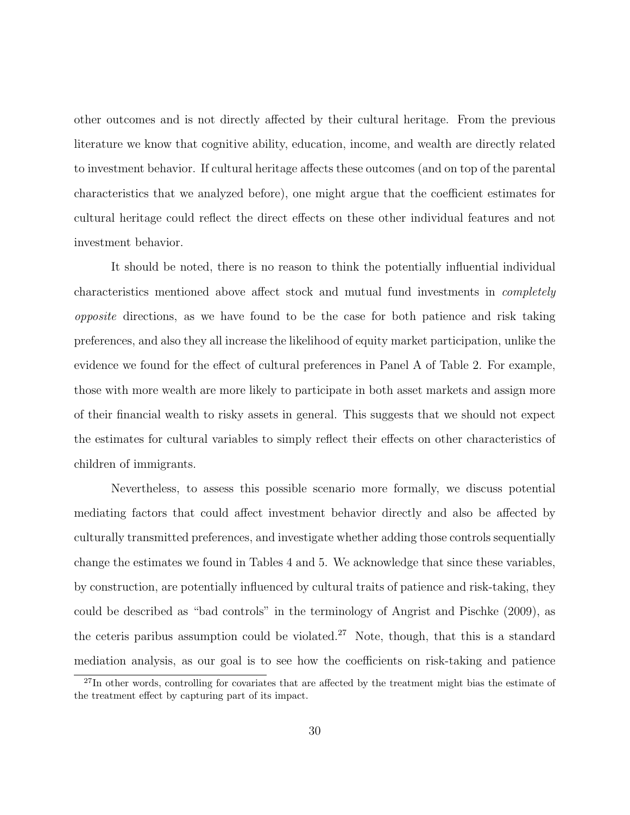other outcomes and is not directly affected by their cultural heritage. From the previous literature we know that cognitive ability, education, income, and wealth are directly related to investment behavior. If cultural heritage affects these outcomes (and on top of the parental characteristics that we analyzed before), one might argue that the coefficient estimates for cultural heritage could reflect the direct effects on these other individual features and not investment behavior.

It should be noted, there is no reason to think the potentially influential individual characteristics mentioned above affect stock and mutual fund investments in completely opposite directions, as we have found to be the case for both patience and risk taking preferences, and also they all increase the likelihood of equity market participation, unlike the evidence we found for the effect of cultural preferences in Panel A of Table [2.](#page-17-0) For example, those with more wealth are more likely to participate in both asset markets and assign more of their financial wealth to risky assets in general. This suggests that we should not expect the estimates for cultural variables to simply reflect their effects on other characteristics of children of immigrants.

Nevertheless, to assess this possible scenario more formally, we discuss potential mediating factors that could affect investment behavior directly and also be affected by culturally transmitted preferences, and investigate whether adding those controls sequentially change the estimates we found in Tables [4](#page-24-0) and [5.](#page-25-0) We acknowledge that since these variables, by construction, are potentially influenced by cultural traits of patience and risk-taking, they could be described as "bad controls" in the terminology of [Angrist and Pischke](#page-47-6) [\(2009\)](#page-47-6), as the ceteris paribus assumption could be violated.<sup>[27](#page-30-0)</sup> Note, though, that this is a standard mediation analysis, as our goal is to see how the coefficients on risk-taking and patience

<span id="page-30-0"></span><sup>&</sup>lt;sup>27</sup>In other words, controlling for covariates that are affected by the treatment might bias the estimate of the treatment effect by capturing part of its impact.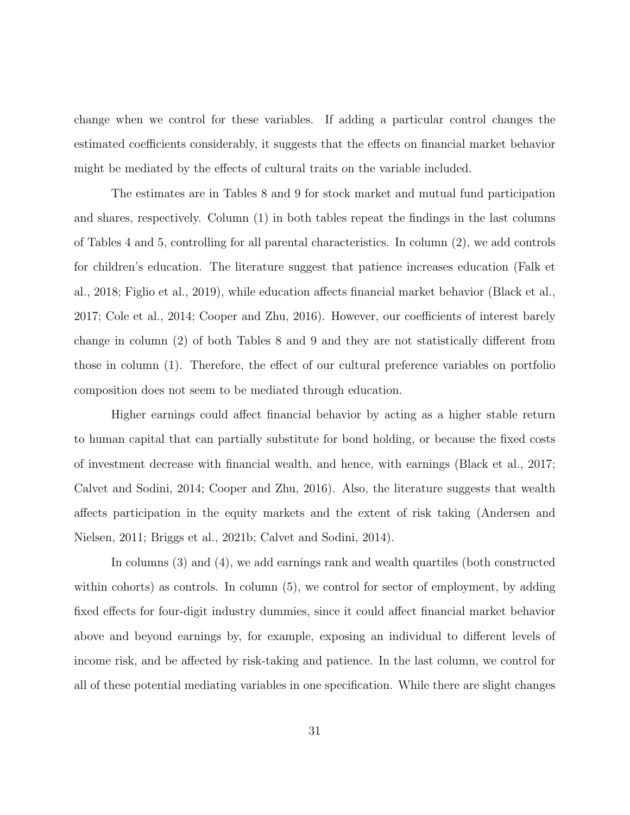change when we control for these variables. If adding a particular control changes the estimated coefficients considerably, it suggests that the effects on financial market behavior might be mediated by the effects of cultural traits on the variable included.

The estimates are in Tables [8](#page-32-0) and [9](#page-33-0) for stock market and mutual fund participation and shares, respectively. Column (1) in both tables repeat the findings in the last columns of Tables [4](#page-24-0) and [5,](#page-25-0) controlling for all parental characteristics. In column (2), we add controls for children's education. The literature suggest that patience increases education [\(Falk et](#page-50-4) [al., 2018;](#page-50-4) [Figlio et al., 2019\)](#page-51-1), while education affects financial market behavior [\(Black et al.,](#page-47-5) [2017;](#page-47-5) [Cole et al., 2014;](#page-49-7) [Cooper and Zhu, 2016\)](#page-49-8). However, our coefficients of interest barely change in column (2) of both Tables [8](#page-32-0) and [9](#page-33-0) and they are not statistically different from those in column (1). Therefore, the effect of our cultural preference variables on portfolio composition does not seem to be mediated through education.

Higher earnings could affect financial behavior by acting as a higher stable return to human capital that can partially substitute for bond holding, or because the fixed costs of investment decrease with financial wealth, and hence, with earnings [\(Black et al., 2017;](#page-47-5) [Calvet and Sodini, 2014;](#page-48-4) [Cooper and Zhu, 2016\)](#page-49-8). Also, the literature suggests that wealth affects participation in the equity markets and the extent of risk taking [\(Andersen and](#page-46-5) [Nielsen, 2011;](#page-46-5) [Briggs et al., 2021b;](#page-48-8) [Calvet and Sodini, 2014\)](#page-48-4).

In columns (3) and (4), we add earnings rank and wealth quartiles (both constructed within cohorts) as controls. In column  $(5)$ , we control for sector of employment, by adding fixed effects for four-digit industry dummies, since it could affect financial market behavior above and beyond earnings by, for example, exposing an individual to different levels of income risk, and be affected by risk-taking and patience. In the last column, we control for all of these potential mediating variables in one specification. While there are slight changes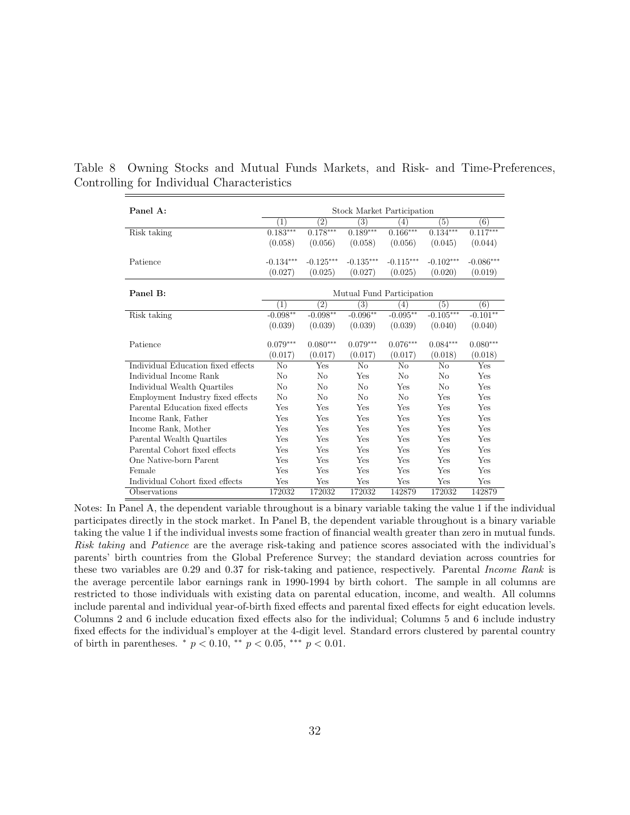| Panel A:                           | Stock Market Participation |                   |                   |             |             |             |
|------------------------------------|----------------------------|-------------------|-------------------|-------------|-------------|-------------|
|                                    | $\left( 1\right)$          | $\left( 2\right)$ | $\left( 3\right)$ | (4)         | (5)         | (6)         |
| Risk taking                        | $0.183***$                 | $0.178***$        | $0.189***$        | $0.166***$  | $0.134***$  | $0.117***$  |
|                                    | (0.058)                    | (0.056)           | (0.058)           | (0.056)     | (0.045)     | (0.044)     |
| Patience                           | $-0.134***$                | $-0.125***$       | $-0.135***$       | $-0.115***$ | $-0.102***$ | $-0.086***$ |
|                                    | (0.027)                    | (0.025)           | (0.027)           | (0.025)     | (0.020)     | (0.019)     |
| Panel B:                           | Mutual Fund Participation  |                   |                   |             |             |             |
|                                    | $\left(1\right)$           | $\left( 2\right)$ | $\left( 3\right)$ | (4)         | (5)         | (6)         |
| Risk taking                        | $-0.098**$                 | $-0.098**$        | $-0.096**$        | $-0.095**$  | $-0.105***$ | $-0.101**$  |
|                                    | (0.039)                    | (0.039)           | (0.039)           | (0.039)     | (0.040)     | (0.040)     |
| Patience                           | $0.079***$                 | $0.080***$        | $0.079***$        | $0.076***$  | $0.084***$  | $0.080***$  |
|                                    | (0.017)                    | (0.017)           | (0.017)           | (0.017)     | (0.018)     | (0.018)     |
| Individual Education fixed effects | No                         | Yes               | No                | No          | No          | Yes         |
| Individual Income Rank             | No                         | No                | Yes               | No          | No          | <b>Yes</b>  |
| Individual Wealth Quartiles        | No                         | No                | No                | Yes         | No          | Yes         |
| Employment Industry fixed effects  | No                         | N <sub>0</sub>    | N <sub>0</sub>    | No          | Yes         | Yes         |
| Parental Education fixed effects   | Yes                        | Yes               | Yes               | Yes         | Yes         | Yes         |
| Income Rank, Father                | Yes                        | Yes               | Yes               | Yes         | Yes         | Yes         |
| Income Rank, Mother                | Yes                        | Yes               | Yes               | Yes         | Yes         | Yes         |
| Parental Wealth Quartiles          | Yes                        | Yes               | Yes               | Yes         | Yes         | Yes         |
| Parental Cohort fixed effects      | Yes                        | Yes               | Yes               | Yes         | Yes         | Yes         |
| One Native-born Parent             | Yes                        | Yes               | Yes               | Yes         | Yes         | Yes         |
| Female                             | Yes                        | Yes               | Yes               | Yes         | Yes         | Yes         |
| Individual Cohort fixed effects    | Yes                        | Yes               | Yes               | Yes         | Yes         | Yes         |
| Observations                       | 172032                     | 172032            | 172032            | 142879      | 172032      | 142879      |

<span id="page-32-0"></span>Table 8 Owning Stocks and Mutual Funds Markets, and Risk- and Time-Preferences, Controlling for Individual Characteristics

Notes: In Panel A, the dependent variable throughout is a binary variable taking the value 1 if the individual participates directly in the stock market. In Panel B, the dependent variable throughout is a binary variable taking the value 1 if the individual invests some fraction of financial wealth greater than zero in mutual funds. Risk taking and Patience are the average risk-taking and patience scores associated with the individual's parents' birth countries from the Global Preference Survey; the standard deviation across countries for these two variables are 0.29 and 0.37 for risk-taking and patience, respectively. Parental Income Rank is the average percentile labor earnings rank in 1990-1994 by birth cohort. The sample in all columns are restricted to those individuals with existing data on parental education, income, and wealth. All columns include parental and individual year-of-birth fixed effects and parental fixed effects for eight education levels. Columns 2 and 6 include education fixed effects also for the individual; Columns 5 and 6 include industry fixed effects for the individual's employer at the 4-digit level. Standard errors clustered by parental country of birth in parentheses.  $*$   $p < 0.10$ ,  $**$   $p < 0.05$ ,  $**$   $p < 0.01$ .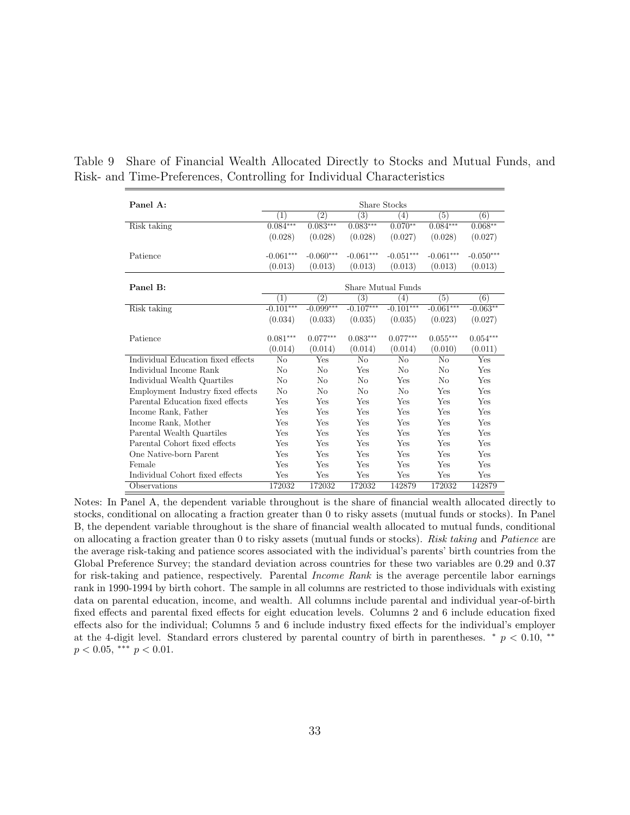| Panel A:                           | Share Stocks       |                   |                   |                |                |             |
|------------------------------------|--------------------|-------------------|-------------------|----------------|----------------|-------------|
|                                    | $\left( 1\right)$  | (2)               | $\left( 3\right)$ | (4)            | (5)            | (6)         |
| Risk taking                        | $0.084***$         | $0.083***$        | $0.083***$        | $0.070**$      | $0.084***$     | $0.068**$   |
|                                    | (0.028)            | (0.028)           | (0.028)           | (0.027)        | (0.028)        | (0.027)     |
|                                    |                    |                   |                   |                |                |             |
| Patience                           | $-0.061***$        | $-0.060***$       | $-0.061***$       | $-0.051***$    | $-0.061***$    | $-0.050***$ |
|                                    | (0.013)            | (0.013)           | (0.013)           | (0.013)        | (0.013)        | (0.013)     |
|                                    |                    |                   |                   |                |                |             |
| Panel B:                           | Share Mutual Funds |                   |                   |                |                |             |
|                                    | $\left( 1\right)$  | $\left( 2\right)$ | $\left( 3\right)$ | (4)            | (5)            | (6)         |
| Risk taking                        | $-0.101***$        | $-0.099***$       | $-0.107***$       | $-0.101***$    | $-0.061***$    | $-0.063**$  |
|                                    | (0.034)            | (0.033)           | (0.035)           | (0.035)        | (0.023)        | (0.027)     |
|                                    |                    |                   |                   |                |                |             |
| Patience                           | $0.081***$         | $0.077***$        | $0.083***$        | $0.077***$     | $0.055***$     | $0.054***$  |
|                                    | (0.014)            | (0.014)           | (0.014)           | (0.014)        | (0.010)        | (0.011)     |
| Individual Education fixed effects | No                 | Yes               | No                | N <sub>o</sub> | No             | Yes         |
| Individual Income Rank             | N <sub>o</sub>     | $\rm No$          | Yes               | $\rm No$       | $\rm No$       | Yes         |
| Individual Wealth Quartiles        | N <sub>0</sub>     | No                | N <sub>0</sub>    | Yes            | N <sub>0</sub> | <b>Yes</b>  |
| Employment Industry fixed effects  | No                 | No                | No                | N <sub>o</sub> | Yes            | Yes         |
| Parental Education fixed effects   | Yes                | Yes               | Yes               | Yes            | Yes            | Yes         |
| Income Rank, Father                | Yes                | Yes               | Yes               | Yes            | Yes            | Yes         |
| Income Rank, Mother                | Yes                | Yes               | Yes               | Yes            | Yes            | Yes         |
| Parental Wealth Quartiles          | Yes                | Yes               | Yes               | Yes            | Yes            | Yes         |
| Parental Cohort fixed effects      | Yes                | Yes               | Yes               | Yes            | Yes            | Yes         |
| One Native-born Parent             | Yes                | Yes               | Yes               | Yes            | Yes            | Yes         |
| Female                             | Yes                | Yes               | Yes               | Yes            | Yes            | Yes         |
| Individual Cohort fixed effects    | Yes                | Yes               | Yes               | Yes            | Yes            | Yes         |
| Observations                       | 172032             | 172032            | 172032            | 142879         | 172032         | 142879      |

<span id="page-33-0"></span>Table 9 Share of Financial Wealth Allocated Directly to Stocks and Mutual Funds, and Risk- and Time-Preferences, Controlling for Individual Characteristics

Notes: In Panel A, the dependent variable throughout is the share of financial wealth allocated directly to stocks, conditional on allocating a fraction greater than 0 to risky assets (mutual funds or stocks). In Panel B, the dependent variable throughout is the share of financial wealth allocated to mutual funds, conditional on allocating a fraction greater than 0 to risky assets (mutual funds or stocks). Risk taking and Patience are the average risk-taking and patience scores associated with the individual's parents' birth countries from the Global Preference Survey; the standard deviation across countries for these two variables are 0.29 and 0.37 for risk-taking and patience, respectively. Parental Income Rank is the average percentile labor earnings rank in 1990-1994 by birth cohort. The sample in all columns are restricted to those individuals with existing data on parental education, income, and wealth. All columns include parental and individual year-of-birth fixed effects and parental fixed effects for eight education levels. Columns 2 and 6 include education fixed effects also for the individual; Columns 5 and 6 include industry fixed effects for the individual's employer at the 4-digit level. Standard errors clustered by parental country of birth in parentheses.  $* p < 0.10$ , \*\*  $p < 0.05$ , \*\*\*  $p < 0.01$ .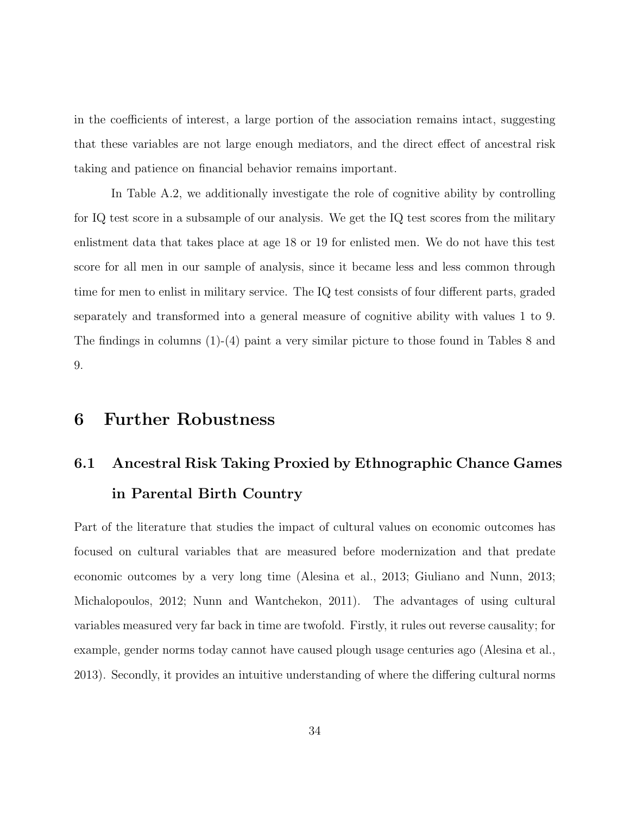in the coefficients of interest, a large portion of the association remains intact, suggesting that these variables are not large enough mediators, and the direct effect of ancestral risk taking and patience on financial behavior remains important.

In Table [A.2,](#page-56-0) we additionally investigate the role of cognitive ability by controlling for IQ test score in a subsample of our analysis. We get the IQ test scores from the military enlistment data that takes place at age 18 or 19 for enlisted men. We do not have this test score for all men in our sample of analysis, since it became less and less common through time for men to enlist in military service. The IQ test consists of four different parts, graded separately and transformed into a general measure of cognitive ability with values 1 to 9. The findings in columns (1)-(4) paint a very similar picture to those found in Tables [8](#page-32-0) and [9.](#page-33-0)

## 6 Further Robustness

# 6.1 Ancestral Risk Taking Proxied by Ethnographic Chance Games in Parental Birth Country

Part of the literature that studies the impact of cultural values on economic outcomes has focused on cultural variables that are measured before modernization and that predate economic outcomes by a very long time [\(Alesina et al., 2013;](#page-46-0) [Giuliano and Nunn, 2013;](#page-51-6) [Michalopoulos, 2012;](#page-53-6) [Nunn and Wantchekon, 2011\)](#page-53-7). The advantages of using cultural variables measured very far back in time are twofold. Firstly, it rules out reverse causality; for example, gender norms today cannot have caused plough usage centuries ago [\(Alesina et al.,](#page-46-0) [2013\)](#page-46-0). Secondly, it provides an intuitive understanding of where the differing cultural norms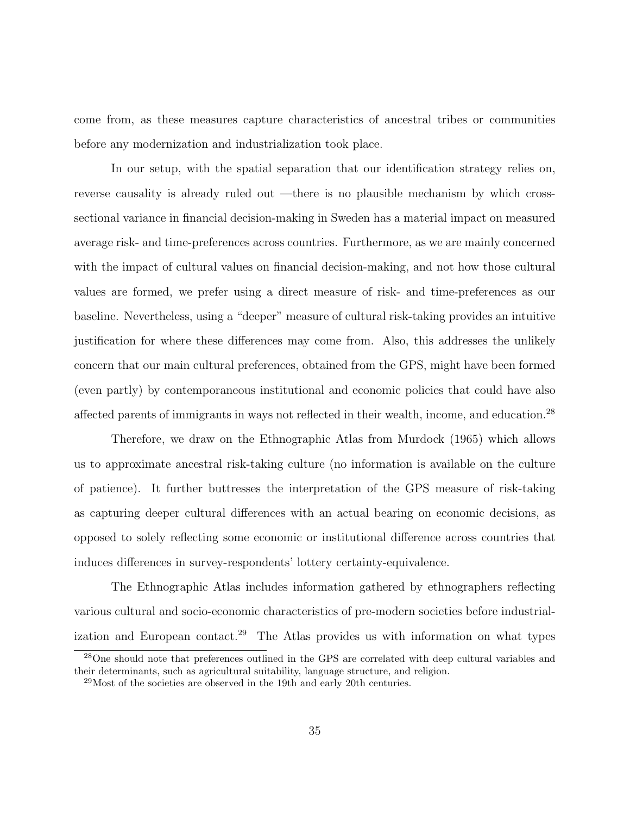come from, as these measures capture characteristics of ancestral tribes or communities before any modernization and industrialization took place.

In our setup, with the spatial separation that our identification strategy relies on, reverse causality is already ruled out —there is no plausible mechanism by which crosssectional variance in financial decision-making in Sweden has a material impact on measured average risk- and time-preferences across countries. Furthermore, as we are mainly concerned with the impact of cultural values on financial decision-making, and not how those cultural values are formed, we prefer using a direct measure of risk- and time-preferences as our baseline. Nevertheless, using a "deeper" measure of cultural risk-taking provides an intuitive justification for where these differences may come from. Also, this addresses the unlikely concern that our main cultural preferences, obtained from the GPS, might have been formed (even partly) by contemporaneous institutional and economic policies that could have also affected parents of immigrants in ways not reflected in their wealth, income, and education.<sup>[28](#page-35-0)</sup>

Therefore, we draw on the Ethnographic Atlas from [Murdock](#page-53-5) [\(1965\)](#page-53-5) which allows us to approximate ancestral risk-taking culture (no information is available on the culture of patience). It further buttresses the interpretation of the GPS measure of risk-taking as capturing deeper cultural differences with an actual bearing on economic decisions, as opposed to solely reflecting some economic or institutional difference across countries that induces differences in survey-respondents' lottery certainty-equivalence.

The Ethnographic Atlas includes information gathered by ethnographers reflecting various cultural and socio-economic characteristics of pre-modern societies before industrial-ization and European contact.<sup>[29](#page-35-1)</sup> The Atlas provides us with information on what types

<span id="page-35-0"></span><sup>28</sup>One should note that preferences outlined in the GPS are correlated with deep cultural variables and their determinants, such as agricultural suitability, language structure, and religion.

<span id="page-35-1"></span> $^{29}$ Most of the societies are observed in the 19th and early 20th centuries.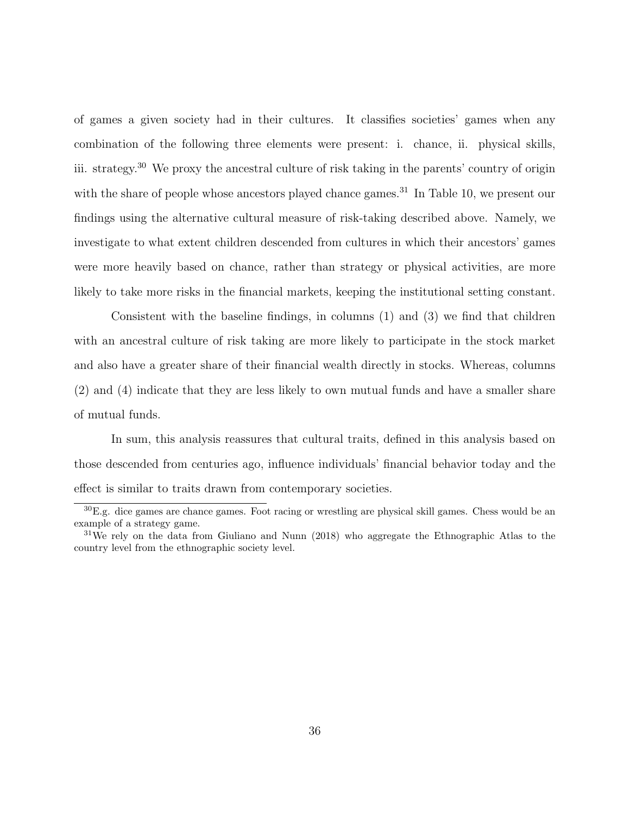of games a given society had in their cultures. It classifies societies' games when any combination of the following three elements were present: i. chance, ii. physical skills, iii. strategy.<sup>[30](#page-36-0)</sup> We proxy the ancestral culture of risk taking in the parents' country of origin with the share of people whose ancestors played chance games.<sup>[31](#page-36-1)</sup> In Table [10,](#page-37-0) we present our findings using the alternative cultural measure of risk-taking described above. Namely, we investigate to what extent children descended from cultures in which their ancestors' games were more heavily based on chance, rather than strategy or physical activities, are more likely to take more risks in the financial markets, keeping the institutional setting constant.

Consistent with the baseline findings, in columns (1) and (3) we find that children with an ancestral culture of risk taking are more likely to participate in the stock market and also have a greater share of their financial wealth directly in stocks. Whereas, columns (2) and (4) indicate that they are less likely to own mutual funds and have a smaller share of mutual funds.

In sum, this analysis reassures that cultural traits, defined in this analysis based on those descended from centuries ago, influence individuals' financial behavior today and the effect is similar to traits drawn from contemporary societies.

<span id="page-36-0"></span> $30E.g.$  dice games are chance games. Foot racing or wrestling are physical skill games. Chess would be an example of a strategy game.

<span id="page-36-1"></span><sup>&</sup>lt;sup>31</sup>We rely on the data from [Giuliano and Nunn](#page-52-9) [\(2018\)](#page-52-9) who aggregate the Ethnographic Atlas to the country level from the ethnographic society level.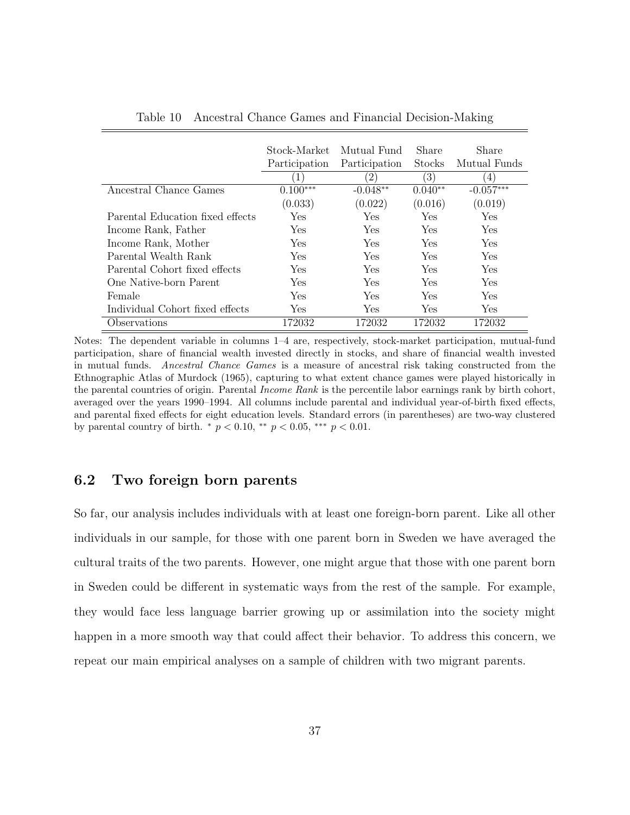<span id="page-37-0"></span>

|                                  | Stock-Market  | Mutual Fund      | Share            | Share        |
|----------------------------------|---------------|------------------|------------------|--------------|
|                                  | Participation | Participation    | <b>Stocks</b>    | Mutual Funds |
|                                  | 1)            | $\left(2\right)$ | $\left(3\right)$ | 4)           |
| Ancestral Chance Games           | $0.100***$    | $-0.048**$       | $0.040**$        | $-0.057***$  |
|                                  | (0.033)       | (0.022)          | (0.016)          | (0.019)      |
| Parental Education fixed effects | Yes           | Yes              | Yes              | Yes          |
| Income Rank, Father              | Yes           | Yes              | Yes              | Yes          |
| Income Rank, Mother              | Yes           | Yes              | Yes              | Yes          |
| Parental Wealth Rank             | Yes           | Yes              | Yes              | Yes          |
| Parental Cohort fixed effects    | Yes           | Yes              | Yes              | Yes          |
| One Native-born Parent           | Yes           | Yes              | Yes              | Yes          |
| Female                           | Yes           | Yes              | Yes              | Yes          |
| Individual Cohort fixed effects  | Yes           | Yes              | Yes              | Yes          |
| Observations                     | 172032        | 172032           | 172032           | 172032       |

Table 10 Ancestral Chance Games and Financial Decision-Making

Notes: The dependent variable in columns 1–4 are, respectively, stock-market participation, mutual-fund participation, share of financial wealth invested directly in stocks, and share of financial wealth invested in mutual funds. Ancestral Chance Games is a measure of ancestral risk taking constructed from the Ethnographic Atlas of [Murdock](#page-53-5) [\(1965\)](#page-53-5), capturing to what extent chance games were played historically in the parental countries of origin. Parental Income Rank is the percentile labor earnings rank by birth cohort, averaged over the years 1990–1994. All columns include parental and individual year-of-birth fixed effects, and parental fixed effects for eight education levels. Standard errors (in parentheses) are two-way clustered by parental country of birth.  $p < 0.10$ , \*\*  $p < 0.05$ , \*\*\*  $p < 0.01$ .

#### 6.2 Two foreign born parents

So far, our analysis includes individuals with at least one foreign-born parent. Like all other individuals in our sample, for those with one parent born in Sweden we have averaged the cultural traits of the two parents. However, one might argue that those with one parent born in Sweden could be different in systematic ways from the rest of the sample. For example, they would face less language barrier growing up or assimilation into the society might happen in a more smooth way that could affect their behavior. To address this concern, we repeat our main empirical analyses on a sample of children with two migrant parents.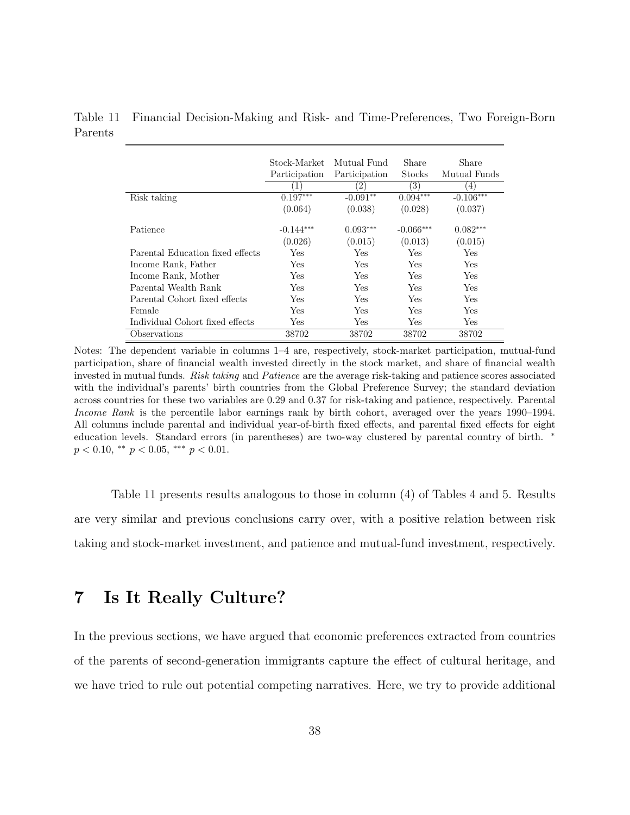<span id="page-38-0"></span>Table 11 Financial Decision-Making and Risk- and Time-Preferences, Two Foreign-Born Parents

|                                  | Stock-Market<br>Participation | Mutual Fund<br>Participation<br>$\left( 2\right)$ | Share<br>Stocks<br>(3) | Share<br>Mutual Funds<br>4) |
|----------------------------------|-------------------------------|---------------------------------------------------|------------------------|-----------------------------|
| Risk taking                      | $0.197***$                    | $-0.091**$                                        | $0.094***$             | $-0.106***$                 |
|                                  | (0.064)                       | (0.038)                                           | (0.028)                | (0.037)                     |
| Patience                         | $-0.144***$                   | $0.093***$                                        | $-0.066***$            | $0.082***$                  |
|                                  | (0.026)                       | (0.015)                                           | (0.013)                | (0.015)                     |
| Parental Education fixed effects | Yes                           | Yes                                               | Yes                    | Yes                         |
| Income Rank, Father              | Yes                           | Yes                                               | Yes                    | Yes                         |
| Income Rank, Mother              | Yes                           | Yes                                               | Yes                    | Yes.                        |
| Parental Wealth Rank             | Yes                           | Yes                                               | Yes                    | Yes                         |
| Parental Cohort fixed effects    | Yes                           | Yes                                               | <b>Yes</b>             | <b>Yes</b>                  |
| Female                           | Yes                           | Yes                                               | Yes                    | <b>Yes</b>                  |
| Individual Cohort fixed effects  | Yes                           | Yes                                               | Yes                    | Yes                         |
| <i><b>Observations</b></i>       | 38702                         | 38702                                             | 38702                  | 38702                       |

Notes: The dependent variable in columns 1–4 are, respectively, stock-market participation, mutual-fund participation, share of financial wealth invested directly in the stock market, and share of financial wealth invested in mutual funds. Risk taking and Patience are the average risk-taking and patience scores associated with the individual's parents' birth countries from the Global Preference Survey; the standard deviation across countries for these two variables are 0.29 and 0.37 for risk-taking and patience, respectively. Parental Income Rank is the percentile labor earnings rank by birth cohort, averaged over the years 1990–1994. All columns include parental and individual year-of-birth fixed effects, and parental fixed effects for eight education levels. Standard errors (in parentheses) are two-way clustered by parental country of birth. <sup>∗</sup>  $p < 0.10,$  \*\*  $p < 0.05,$  \*\*\*  $p < 0.01$ .

Table [11](#page-38-0) presents results analogous to those in column (4) of Tables [4](#page-24-0) and [5.](#page-25-0) Results are very similar and previous conclusions carry over, with a positive relation between risk taking and stock-market investment, and patience and mutual-fund investment, respectively.

## 7 Is It Really Culture?

In the previous sections, we have argued that economic preferences extracted from countries of the parents of second-generation immigrants capture the effect of cultural heritage, and we have tried to rule out potential competing narratives. Here, we try to provide additional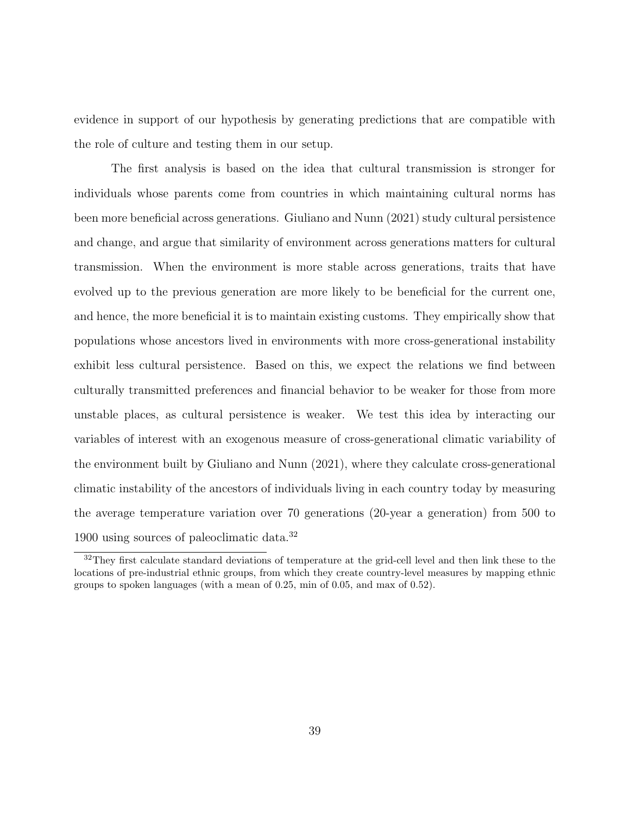evidence in support of our hypothesis by generating predictions that are compatible with the role of culture and testing them in our setup.

The first analysis is based on the idea that cultural transmission is stronger for individuals whose parents come from countries in which maintaining cultural norms has been more beneficial across generations. [Giuliano and Nunn](#page-52-7) [\(2021\)](#page-52-7) study cultural persistence and change, and argue that similarity of environment across generations matters for cultural transmission. When the environment is more stable across generations, traits that have evolved up to the previous generation are more likely to be beneficial for the current one, and hence, the more beneficial it is to maintain existing customs. They empirically show that populations whose ancestors lived in environments with more cross-generational instability exhibit less cultural persistence. Based on this, we expect the relations we find between culturally transmitted preferences and financial behavior to be weaker for those from more unstable places, as cultural persistence is weaker. We test this idea by interacting our variables of interest with an exogenous measure of cross-generational climatic variability of the environment built by [Giuliano and Nunn](#page-52-7) [\(2021\)](#page-52-7), where they calculate cross-generational climatic instability of the ancestors of individuals living in each country today by measuring the average temperature variation over 70 generations (20-year a generation) from 500 to 1900 using sources of paleoclimatic data.[32](#page-39-0)

<span id="page-39-0"></span><sup>&</sup>lt;sup>32</sup>They first calculate standard deviations of temperature at the grid-cell level and then link these to the locations of pre-industrial ethnic groups, from which they create country-level measures by mapping ethnic groups to spoken languages (with a mean of 0.25, min of 0.05, and max of 0.52).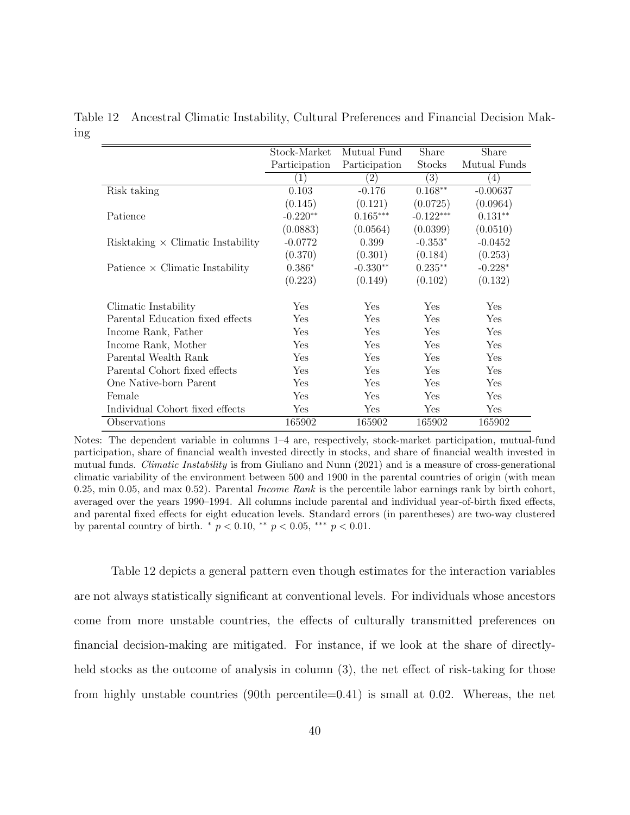|                                          | Stock-Market  | Mutual Fund   | Share            | Share             |
|------------------------------------------|---------------|---------------|------------------|-------------------|
|                                          | Participation | Participation | <b>Stocks</b>    | Mutual Funds      |
|                                          | $\perp$       | $^{'}2)$      | $\left(3\right)$ | $\left( 4\right)$ |
| Risk taking                              | 0.103         | $-0.176$      | $0.168**$        | $-0.00637$        |
|                                          | (0.145)       | (0.121)       | (0.0725)         | (0.0964)          |
| Patience                                 | $-0.220**$    | $0.165***$    | $-0.122***$      | $0.131**$         |
|                                          | (0.0883)      | (0.0564)      | (0.0399)         | (0.0510)          |
| Risktaking $\times$ Climatic Instability | $-0.0772$     | 0.399         | $-0.353*$        | $-0.0452$         |
|                                          | (0.370)       | (0.301)       | (0.184)          | (0.253)           |
| Patience $\times$ Climatic Instability   | $0.386*$      | $-0.330**$    | $0.235**$        | $-0.228*$         |
|                                          | (0.223)       | (0.149)       | (0.102)          | (0.132)           |
| Climatic Instability                     | Yes           | Yes           | Yes              | Yes               |
| Parental Education fixed effects         | Yes           | Yes           | Yes              | Yes               |
| Income Rank, Father                      | Yes           | Yes           | Yes              | Yes               |
| Income Rank, Mother                      | Yes           | Yes           | Yes              | Yes               |
| Parental Wealth Rank                     | Yes           | Yes           | Yes              | Yes               |
| Parental Cohort fixed effects            | Yes           | Yes           | Yes              | Yes               |
| One Native-born Parent                   | Yes           | Yes           | Yes              | Yes               |
| Female                                   | Yes           | Yes           | Yes              | Yes               |
| Individual Cohort fixed effects          | Yes           | Yes           | Yes              | Yes               |
| Observations                             | 165902        | 165902        | 165902           | 165902            |

<span id="page-40-0"></span>Table 12 Ancestral Climatic Instability, Cultural Preferences and Financial Decision Making

Notes: The dependent variable in columns 1–4 are, respectively, stock-market participation, mutual-fund participation, share of financial wealth invested directly in stocks, and share of financial wealth invested in mutual funds. Climatic Instability is from [Giuliano and Nunn](#page-52-7) [\(2021\)](#page-52-7) and is a measure of cross-generational climatic variability of the environment between 500 and 1900 in the parental countries of origin (with mean 0.25, min 0.05, and max 0.52). Parental *Income Rank* is the percentile labor earnings rank by birth cohort, averaged over the years 1990–1994. All columns include parental and individual year-of-birth fixed effects, and parental fixed effects for eight education levels. Standard errors (in parentheses) are two-way clustered by parental country of birth.  $*$   $p < 0.10$ ,  $**$   $p < 0.05$ ,  $**$   $p < 0.01$ .

Table [12](#page-40-0) depicts a general pattern even though estimates for the interaction variables are not always statistically significant at conventional levels. For individuals whose ancestors come from more unstable countries, the effects of culturally transmitted preferences on financial decision-making are mitigated. For instance, if we look at the share of directlyheld stocks as the outcome of analysis in column (3), the net effect of risk-taking for those from highly unstable countries (90th percentile=0.41) is small at 0.02. Whereas, the net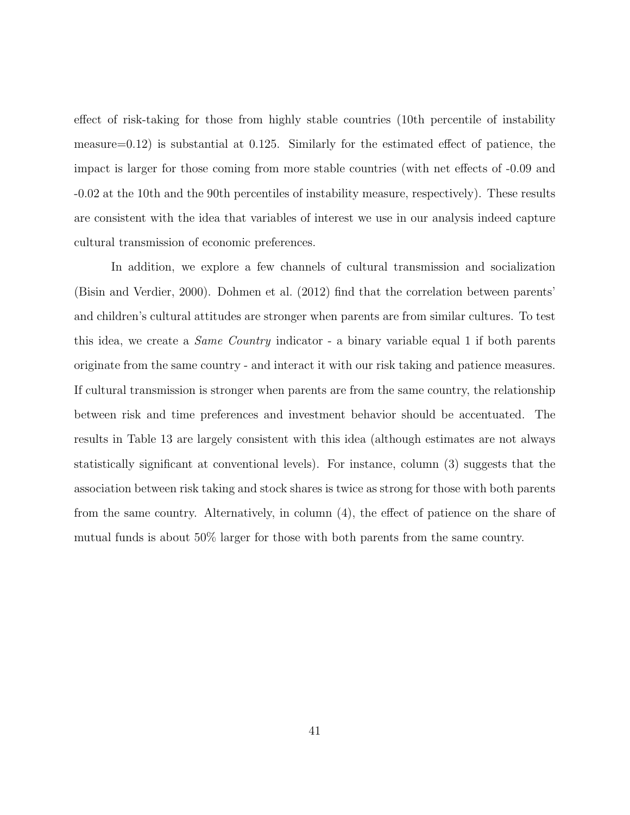effect of risk-taking for those from highly stable countries (10th percentile of instability measure=0.12) is substantial at 0.125. Similarly for the estimated effect of patience, the impact is larger for those coming from more stable countries (with net effects of -0.09 and -0.02 at the 10th and the 90th percentiles of instability measure, respectively). These results are consistent with the idea that variables of interest we use in our analysis indeed capture cultural transmission of economic preferences.

In addition, we explore a few channels of cultural transmission and socialization [\(Bisin and Verdier, 2000\)](#page-47-7). [Dohmen et al.](#page-49-1) [\(2012\)](#page-49-1) find that the correlation between parents' and children's cultural attitudes are stronger when parents are from similar cultures. To test this idea, we create a Same Country indicator - a binary variable equal 1 if both parents originate from the same country - and interact it with our risk taking and patience measures. If cultural transmission is stronger when parents are from the same country, the relationship between risk and time preferences and investment behavior should be accentuated. The results in Table [13](#page-42-0) are largely consistent with this idea (although estimates are not always statistically significant at conventional levels). For instance, column (3) suggests that the association between risk taking and stock shares is twice as strong for those with both parents from the same country. Alternatively, in column (4), the effect of patience on the share of mutual funds is about 50% larger for those with both parents from the same country.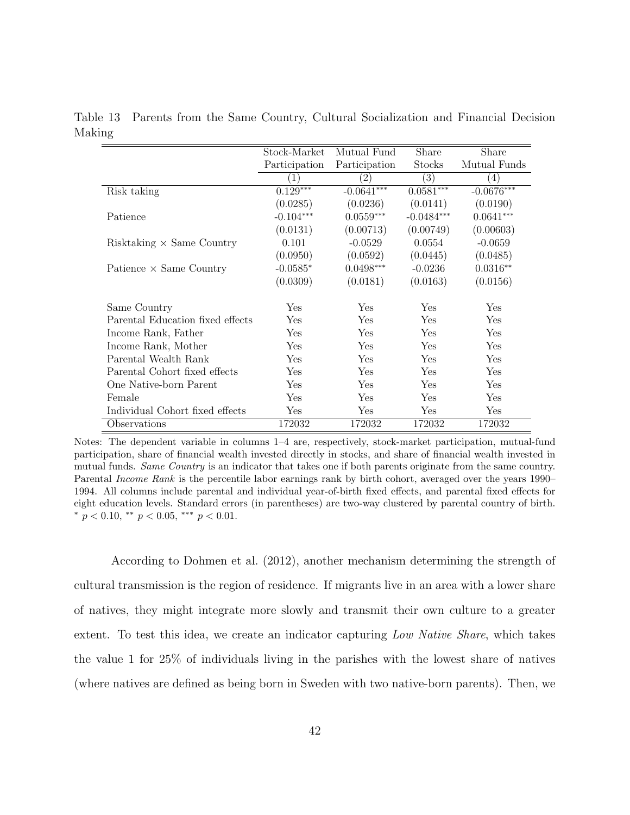|                                  | Stock-Market         | Mutual Fund   | Share        | Share            |
|----------------------------------|----------------------|---------------|--------------|------------------|
|                                  | Participation        | Participation | Stocks       | Mutual Funds     |
|                                  | $\mathbf{1}^{\cdot}$ | (2)           | (3)          | $\left(4\right)$ |
| Risk taking                      | $0.129***$           | $-0.0641***$  | $0.0581***$  | $-0.0676***$     |
|                                  | (0.0285)             | (0.0236)      | (0.0141)     | (0.0190)         |
| Patience                         | $-0.104***$          | $0.0559***$   | $-0.0484***$ | $0.0641***$      |
|                                  | (0.0131)             | (0.00713)     | (0.00749)    | (0.00603)        |
| Risktaking $\times$ Same Country | 0.101                | $-0.0529$     | 0.0554       | $-0.0659$        |
|                                  | (0.0950)             | (0.0592)      | (0.0445)     | (0.0485)         |
| Patience $\times$ Same Country   | $-0.0585*$           | $0.0498***$   | $-0.0236$    | $0.0316**$       |
|                                  | (0.0309)             | (0.0181)      | (0.0163)     | (0.0156)         |
| Same Country                     | Yes                  | Yes           | Yes          | Yes              |
| Parental Education fixed effects | Yes                  | Yes           | Yes          | Yes              |
| Income Rank, Father              | Yes                  | Yes           | Yes          | Yes              |
| Income Rank, Mother              | Yes                  | Yes           | Yes          | Yes              |
| Parental Wealth Rank             | Yes                  | Yes           | Yes          | Yes              |
| Parental Cohort fixed effects    | Yes                  | Yes           | Yes          | Yes              |
| One Native-born Parent           | Yes                  | Yes           | Yes          | Yes              |
| Female                           | Yes                  | Yes           | Yes          | Yes              |
| Individual Cohort fixed effects  | Yes                  | Yes           | Yes          | Yes              |
| Observations                     | 172032               | 172032        | 172032       | 172032           |

<span id="page-42-0"></span>Table 13 Parents from the Same Country, Cultural Socialization and Financial Decision Making

Notes: The dependent variable in columns 1–4 are, respectively, stock-market participation, mutual-fund participation, share of financial wealth invested directly in stocks, and share of financial wealth invested in mutual funds. Same Country is an indicator that takes one if both parents originate from the same country. Parental Income Rank is the percentile labor earnings rank by birth cohort, averaged over the years 1990– 1994. All columns include parental and individual year-of-birth fixed effects, and parental fixed effects for eight education levels. Standard errors (in parentheses) are two-way clustered by parental country of birth. \*  $p < 0.10$ , \*\*  $p < 0.05$ , \*\*\*  $p < 0.01$ .

According to [Dohmen et al.](#page-49-1) [\(2012\)](#page-49-1), another mechanism determining the strength of cultural transmission is the region of residence. If migrants live in an area with a lower share of natives, they might integrate more slowly and transmit their own culture to a greater extent. To test this idea, we create an indicator capturing Low Native Share, which takes the value 1 for 25% of individuals living in the parishes with the lowest share of natives (where natives are defined as being born in Sweden with two native-born parents). Then, we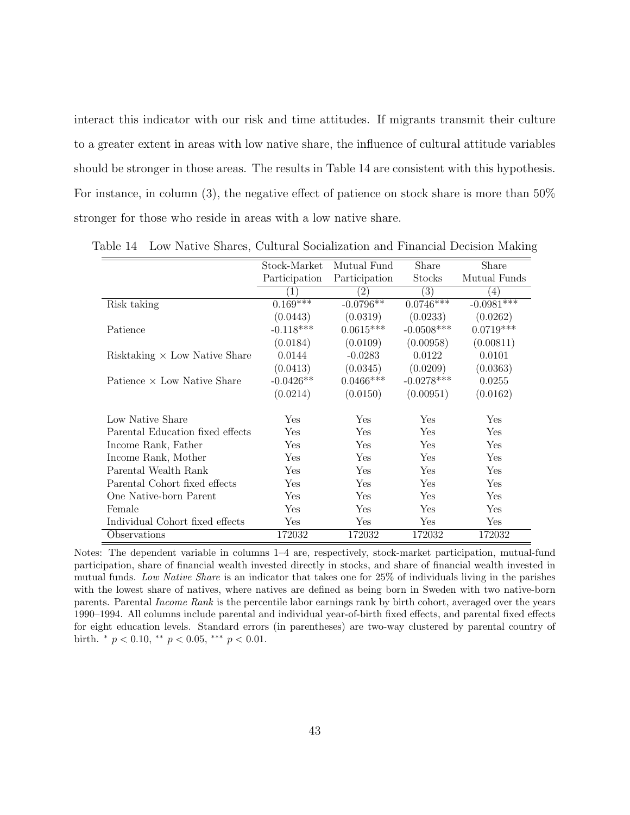interact this indicator with our risk and time attitudes. If migrants transmit their culture to a greater extent in areas with low native share, the influence of cultural attitude variables should be stronger in those areas. The results in Table [14](#page-43-0) are consistent with this hypothesis. For instance, in column (3), the negative effect of patience on stock share is more than 50% stronger for those who reside in areas with a low native share.

|                                      | Stock-Market     | Mutual Fund            | Share            | Share        |
|--------------------------------------|------------------|------------------------|------------------|--------------|
|                                      | Participation    | Participation          | Stocks           | Mutual Funds |
|                                      | $\left(1\right)$ | $\left 2\right\rangle$ | $\left(3\right)$ | (4)          |
| Risk taking                          | $0.169***$       | $-0.0796**$            | $0.0746***$      | $-0.0981***$ |
|                                      | (0.0443)         | (0.0319)               | (0.0233)         | (0.0262)     |
| Patience                             | $-0.118***$      | $0.0615***$            | $-0.0508***$     | $0.0719***$  |
|                                      | (0.0184)         | (0.0109)               | (0.00958)        | (0.00811)    |
| Risktaking $\times$ Low Native Share | 0.0144           | $-0.0283$              | 0.0122           | 0.0101       |
|                                      | (0.0413)         | (0.0345)               | (0.0209)         | (0.0363)     |
| Patience $\times$ Low Native Share   | $-0.0426**$      | $0.0466***$            | $-0.0278***$     | 0.0255       |
|                                      | (0.0214)         | (0.0150)               | (0.00951)        | (0.0162)     |
| Low Native Share                     | Yes              | Yes                    | Yes              | Yes          |
| Parental Education fixed effects     | Yes              | Yes                    | Yes              | Yes          |
| Income Rank, Father                  | Yes              | Yes                    | Yes              | Yes          |
| Income Rank, Mother                  | Yes              | Yes                    | Yes              | Yes          |
| Parental Wealth Rank                 | Yes              | Yes                    | Yes              | Yes          |
| Parental Cohort fixed effects        | Yes              | Yes                    | Yes              | Yes          |
| One Native-born Parent               | Yes              | Yes                    | Yes              | Yes          |
| Female                               | Yes              | Yes                    | Yes              | Yes          |
| Individual Cohort fixed effects      | Yes              | Yes                    | Yes              | Yes          |
| Observations                         | 172032           | 172032                 | 172032           | 172032       |

<span id="page-43-0"></span>Table 14 Low Native Shares, Cultural Socialization and Financial Decision Making

Notes: The dependent variable in columns 1–4 are, respectively, stock-market participation, mutual-fund participation, share of financial wealth invested directly in stocks, and share of financial wealth invested in mutual funds. Low Native Share is an indicator that takes one for 25% of individuals living in the parishes with the lowest share of natives, where natives are defined as being born in Sweden with two native-born parents. Parental Income Rank is the percentile labor earnings rank by birth cohort, averaged over the years 1990–1994. All columns include parental and individual year-of-birth fixed effects, and parental fixed effects for eight education levels. Standard errors (in parentheses) are two-way clustered by parental country of birth.  $*$   $p < 0.10$ ,  $*$   $p < 0.05$ ,  $**$   $p < 0.01$ .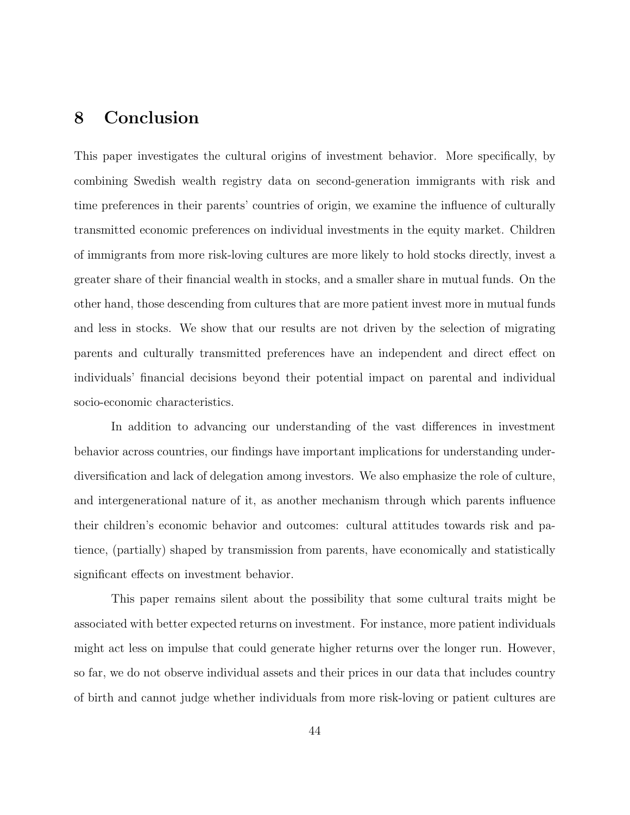## 8 Conclusion

This paper investigates the cultural origins of investment behavior. More specifically, by combining Swedish wealth registry data on second-generation immigrants with risk and time preferences in their parents' countries of origin, we examine the influence of culturally transmitted economic preferences on individual investments in the equity market. Children of immigrants from more risk-loving cultures are more likely to hold stocks directly, invest a greater share of their financial wealth in stocks, and a smaller share in mutual funds. On the other hand, those descending from cultures that are more patient invest more in mutual funds and less in stocks. We show that our results are not driven by the selection of migrating parents and culturally transmitted preferences have an independent and direct effect on individuals' financial decisions beyond their potential impact on parental and individual socio-economic characteristics.

In addition to advancing our understanding of the vast differences in investment behavior across countries, our findings have important implications for understanding underdiversification and lack of delegation among investors. We also emphasize the role of culture, and intergenerational nature of it, as another mechanism through which parents influence their children's economic behavior and outcomes: cultural attitudes towards risk and patience, (partially) shaped by transmission from parents, have economically and statistically significant effects on investment behavior.

This paper remains silent about the possibility that some cultural traits might be associated with better expected returns on investment. For instance, more patient individuals might act less on impulse that could generate higher returns over the longer run. However, so far, we do not observe individual assets and their prices in our data that includes country of birth and cannot judge whether individuals from more risk-loving or patient cultures are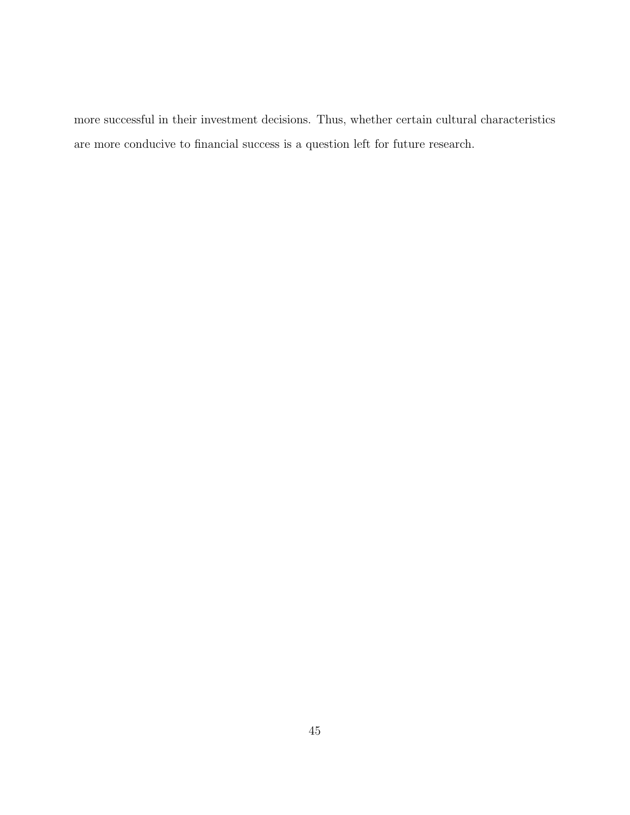more successful in their investment decisions. Thus, whether certain cultural characteristics are more conducive to financial success is a question left for future research.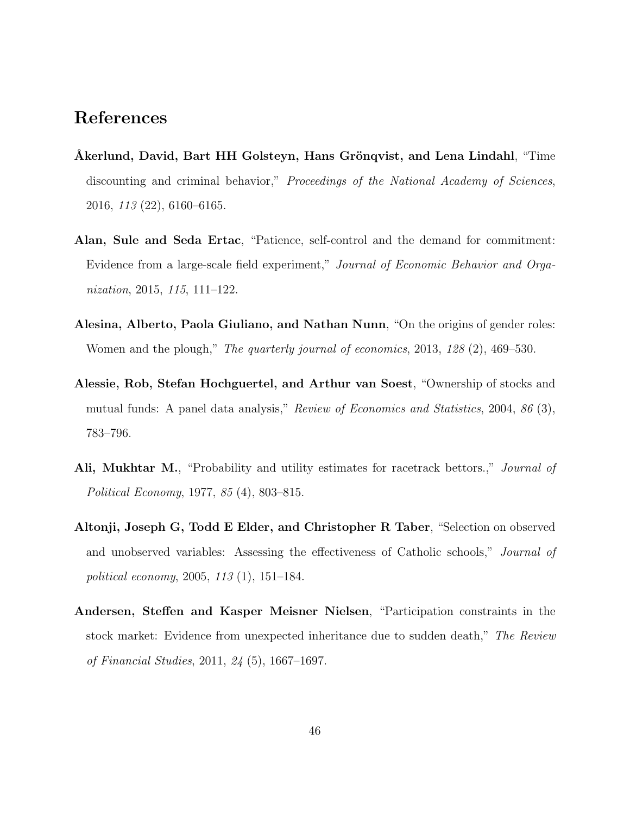## References

- <span id="page-46-2"></span>Akerlund, David, Bart HH Golsteyn, Hans Grönqvist, and Lena Lindahl, "Time discounting and criminal behavior," Proceedings of the National Academy of Sciences, 2016, 113 (22), 6160–6165.
- Alan, Sule and Seda Ertac, "Patience, self-control and the demand for commitment: Evidence from a large-scale field experiment," Journal of Economic Behavior and Organization, 2015, 115, 111–122.
- <span id="page-46-0"></span>Alesina, Alberto, Paola Giuliano, and Nathan Nunn, "On the origins of gender roles: Women and the plough," The quarterly journal of economics, 2013, 128 (2), 469–530.
- <span id="page-46-3"></span>Alessie, Rob, Stefan Hochguertel, and Arthur van Soest, "Ownership of stocks and mutual funds: A panel data analysis," Review of Economics and Statistics, 2004, 86 (3), 783–796.
- <span id="page-46-1"></span>Ali, Mukhtar M., "Probability and utility estimates for racetrack bettors.," *Journal of* Political Economy, 1977, 85 (4), 803–815.
- <span id="page-46-4"></span>Altonji, Joseph G, Todd E Elder, and Christopher R Taber, "Selection on observed and unobserved variables: Assessing the effectiveness of Catholic schools," Journal of political economy, 2005, 113 (1), 151–184.
- <span id="page-46-5"></span>Andersen, Steffen and Kasper Meisner Nielsen, "Participation constraints in the stock market: Evidence from unexpected inheritance due to sudden death," The Review of Financial Studies, 2011, 24 (5), 1667–1697.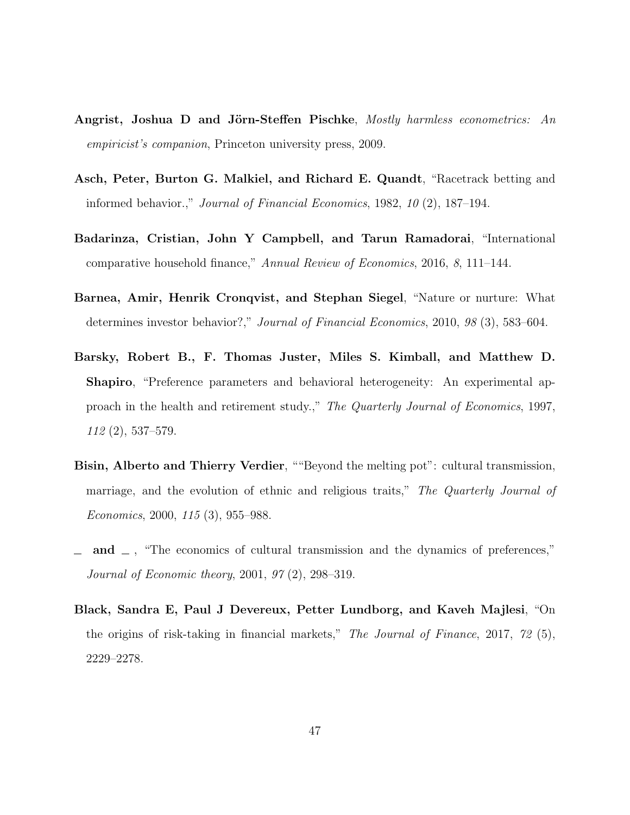- <span id="page-47-6"></span>Angrist, Joshua D and Jörn-Steffen Pischke, Mostly harmless econometrics: An empiricist's companion, Princeton university press, 2009.
- <span id="page-47-3"></span>Asch, Peter, Burton G. Malkiel, and Richard E. Quandt, "Racetrack betting and informed behavior.," Journal of Financial Economics, 1982, 10 (2), 187–194.
- <span id="page-47-0"></span>Badarinza, Cristian, John Y Campbell, and Tarun Ramadorai, "International comparative household finance," Annual Review of Economics, 2016, 8, 111–144.
- <span id="page-47-4"></span>Barnea, Amir, Henrik Cronqvist, and Stephan Siegel, "Nature or nurture: What determines investor behavior?," Journal of Financial Economics, 2010, 98 (3), 583–604.
- <span id="page-47-2"></span>Barsky, Robert B., F. Thomas Juster, Miles S. Kimball, and Matthew D. Shapiro, "Preference parameters and behavioral heterogeneity: An experimental approach in the health and retirement study.," The Quarterly Journal of Economics, 1997, 112 (2), 537–579.
- <span id="page-47-7"></span>Bisin, Alberto and Thierry Verdier, ""Beyond the melting pot": cultural transmission, marriage, and the evolution of ethnic and religious traits," The Quarterly Journal of Economics, 2000, 115 (3), 955–988.
- <span id="page-47-1"></span>and  $\Box$ , "The economics of cultural transmission and the dynamics of preferences," Journal of Economic theory, 2001, 97 (2), 298–319.
- <span id="page-47-5"></span>Black, Sandra E, Paul J Devereux, Petter Lundborg, and Kaveh Majlesi, "On the origins of risk-taking in financial markets," The Journal of Finance, 2017, 72 (5), 2229–2278.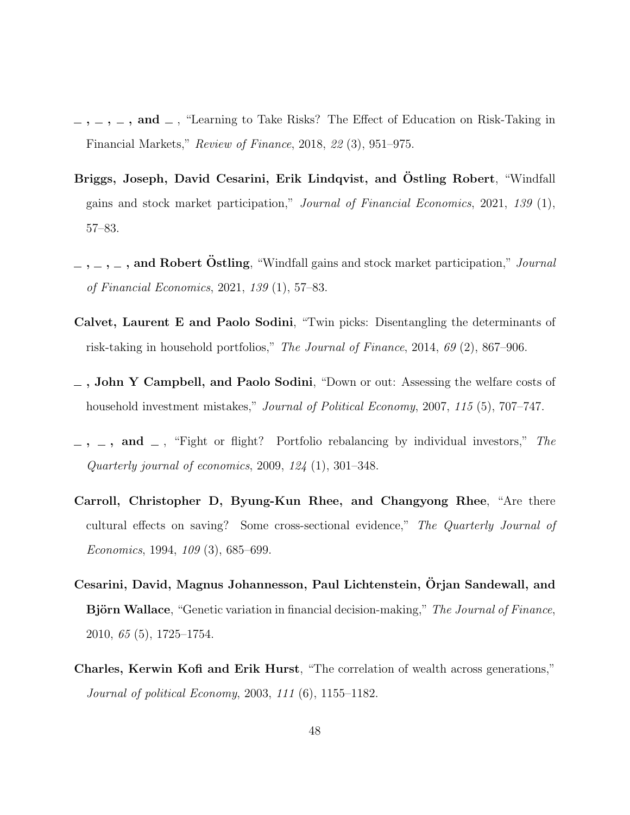- <span id="page-48-1"></span> $\ldots$ ,  $\ldots$ , and  $\ldots$ , "Learning to Take Risks? The Effect of Education on Risk-Taking in Financial Markets," Review of Finance, 2018, 22 (3), 951–975.
- <span id="page-48-2"></span>Briggs, Joseph, David Cesarini, Erik Lindqvist, and Östling Robert. "Windfall gains and stock market participation," Journal of Financial Economics, 2021, 139 (1), 57–83.
- <span id="page-48-8"></span> $, \ldots, \ldots, \bullet$  , and Robert Östling, "Windfall gains and stock market participation," Journal of Financial Economics, 2021, 139 (1), 57–83.
- <span id="page-48-4"></span>Calvet, Laurent E and Paolo Sodini, "Twin picks: Disentangling the determinants of risk-taking in household portfolios," The Journal of Finance, 2014, 69 (2), 867–906.
- <span id="page-48-7"></span> $\overline{\phantom{a}}$ , John Y Campbell, and Paolo Sodini, "Down or out: Assessing the welfare costs of household investment mistakes," Journal of Political Economy, 2007, 115 (5), 707-747.
- <span id="page-48-3"></span> $-$ ,  $-$ , and  $-$ , "Fight or flight? Portfolio rebalancing by individual investors," The Quarterly journal of economics,  $2009, 124$  (1),  $301-348$ .
- <span id="page-48-0"></span>Carroll, Christopher D, Byung-Kun Rhee, and Changyong Rhee, "Are there cultural effects on saving? Some cross-sectional evidence," The Quarterly Journal of Economics, 1994, 109 (3), 685–699.
- <span id="page-48-5"></span>Cesarini, David, Magnus Johannesson, Paul Lichtenstein, Orjan Sandewall, and ¨ **Björn Wallace**, "Genetic variation in financial decision-making," The Journal of Finance, 2010, 65 (5), 1725–1754.
- <span id="page-48-6"></span>Charles, Kerwin Kofi and Erik Hurst, "The correlation of wealth across generations," Journal of political Economy, 2003, 111 (6), 1155–1182.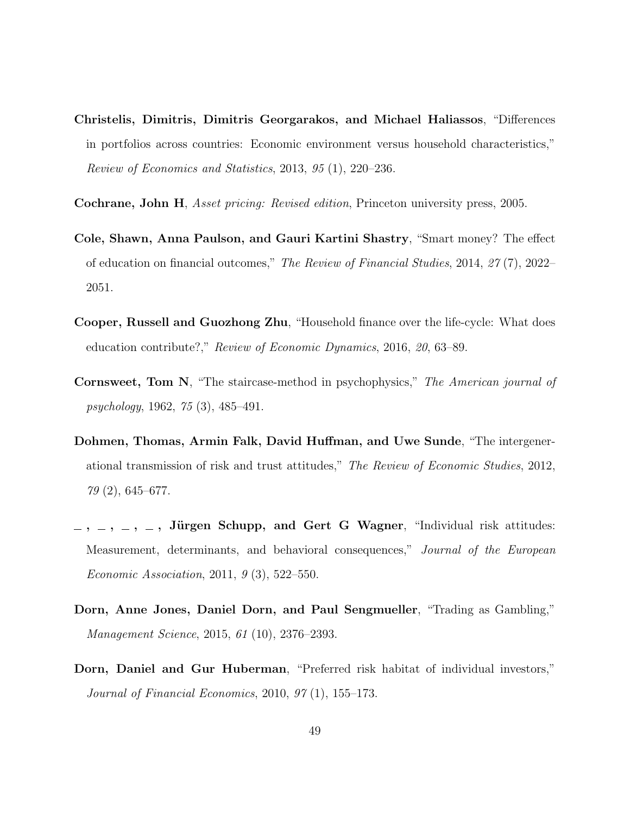- <span id="page-49-0"></span>Christelis, Dimitris, Dimitris Georgarakos, and Michael Haliassos, "Differences in portfolios across countries: Economic environment versus household characteristics," Review of Economics and Statistics, 2013, 95 (1), 220–236.
- <span id="page-49-3"></span>Cochrane, John H, Asset pricing: Revised edition, Princeton university press, 2005.
- <span id="page-49-7"></span>Cole, Shawn, Anna Paulson, and Gauri Kartini Shastry, "Smart money? The effect of education on financial outcomes," The Review of Financial Studies, 2014, 27 (7), 2022– 2051.
- <span id="page-49-8"></span>Cooper, Russell and Guozhong Zhu, "Household finance over the life-cycle: What does education contribute?," Review of Economic Dynamics, 2016, 20, 63–89.
- <span id="page-49-6"></span>Cornsweet, Tom N, "The staircase-method in psychophysics," The American journal of psychology, 1962, 75 (3), 485–491.
- <span id="page-49-1"></span>Dohmen, Thomas, Armin Falk, David Huffman, and Uwe Sunde, "The intergenerational transmission of risk and trust attitudes," The Review of Economic Studies, 2012, 79 (2), 645–677.
- <span id="page-49-4"></span> $-$ ,  $-$ ,  $-$ , Jürgen Schupp, and Gert G Wagner, "Individual risk attitudes: Measurement, determinants, and behavioral consequences," Journal of the European Economic Association, 2011, 9 (3), 522–550.
- <span id="page-49-2"></span>Dorn, Anne Jones, Daniel Dorn, and Paul Sengmueller, "Trading as Gambling," Management Science, 2015, 61 (10), 2376–2393.
- <span id="page-49-5"></span>Dorn, Daniel and Gur Huberman, "Preferred risk habitat of individual investors," Journal of Financial Economics, 2010, 97 (1), 155–173.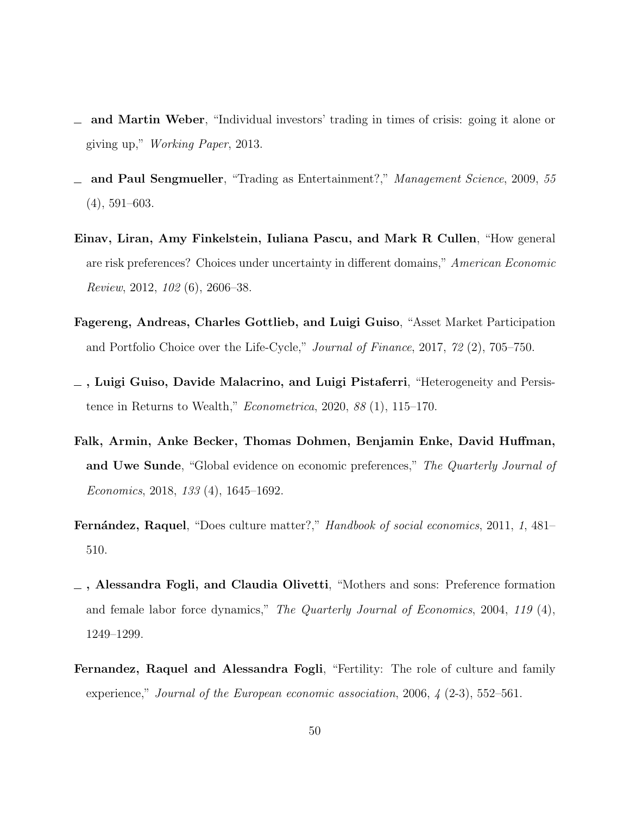- <span id="page-50-7"></span>and Martin Weber, "Individual investors' trading in times of crisis: going it alone or giving up," Working Paper, 2013.
- <span id="page-50-3"></span>and Paul Sengmueller, "Trading as Entertainment?," Management Science, 2009, 55 (4), 591–603.
- <span id="page-50-5"></span>Einav, Liran, Amy Finkelstein, Iuliana Pascu, and Mark R Cullen, "How general are risk preferences? Choices under uncertainty in different domains," American Economic Review, 2012, 102 (6), 2606–38.
- <span id="page-50-8"></span>Fagereng, Andreas, Charles Gottlieb, and Luigi Guiso, "Asset Market Participation and Portfolio Choice over the Life-Cycle," Journal of Finance, 2017, 72 (2), 705–750.
- <span id="page-50-6"></span>, Luigi Guiso, Davide Malacrino, and Luigi Pistaferri, "Heterogeneity and Persistence in Returns to Wealth," Econometrica, 2020, 88 (1), 115–170.
- <span id="page-50-4"></span>Falk, Armin, Anke Becker, Thomas Dohmen, Benjamin Enke, David Huffman, and Uwe Sunde, "Global evidence on economic preferences," The Quarterly Journal of Economics, 2018, 133 (4), 1645–1692.
- <span id="page-50-0"></span>Fernández, Raquel, "Does culture matter?," Handbook of social economics, 2011, 1, 481– 510.
- <span id="page-50-1"></span>, Alessandra Fogli, and Claudia Olivetti, "Mothers and sons: Preference formation and female labor force dynamics," The Quarterly Journal of Economics, 2004, 119 (4), 1249–1299.
- <span id="page-50-2"></span>Fernandez, Raquel and Alessandra Fogli, "Fertility: The role of culture and family experience," Journal of the European economic association, 2006,  $\frac{1}{4}$  (2-3), 552–561.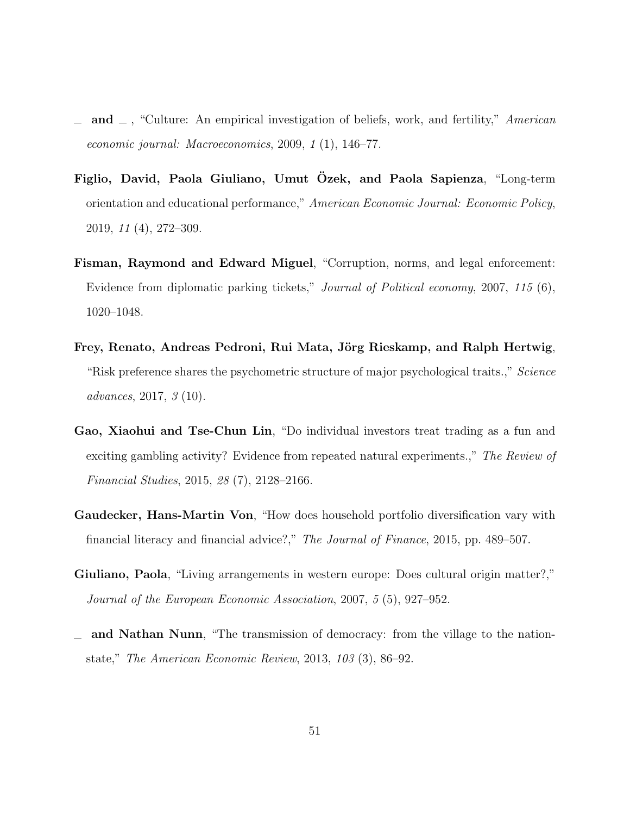- <span id="page-51-0"></span>and  $\Box$ , "Culture: An empirical investigation of beliefs, work, and fertility," American economic journal: Macroeconomics, 2009, 1 (1), 146–77.
- <span id="page-51-1"></span>Figlio, David, Paola Giuliano, Umut Ozek, and Paola Sapienza, "Long-term orientation and educational performance," American Economic Journal: Economic Policy, 2019, 11 (4), 272–309.
- <span id="page-51-2"></span>Fisman, Raymond and Edward Miguel, "Corruption, norms, and legal enforcement: Evidence from diplomatic parking tickets," Journal of Political economy, 2007, 115 (6), 1020–1048.
- <span id="page-51-5"></span>Frey, Renato, Andreas Pedroni, Rui Mata, Jörg Rieskamp, and Ralph Hertwig, "Risk preference shares the psychometric structure of major psychological traits.," Science advances, 2017, 3 (10).
- <span id="page-51-4"></span>Gao, Xiaohui and Tse-Chun Lin, "Do individual investors treat trading as a fun and exciting gambling activity? Evidence from repeated natural experiments.," The Review of Financial Studies, 2015, 28 (7), 2128–2166.
- <span id="page-51-7"></span>Gaudecker, Hans-Martin Von, "How does household portfolio diversification vary with financial literacy and financial advice?," The Journal of Finance, 2015, pp. 489–507.
- <span id="page-51-3"></span>Giuliano, Paola, "Living arrangements in western europe: Does cultural origin matter?," Journal of the European Economic Association, 2007, 5 (5), 927–952.
- <span id="page-51-6"></span>and Nathan Nunn, "The transmission of democracy: from the village to the nation- $\equiv$ state," The American Economic Review, 2013, 103 (3), 86–92.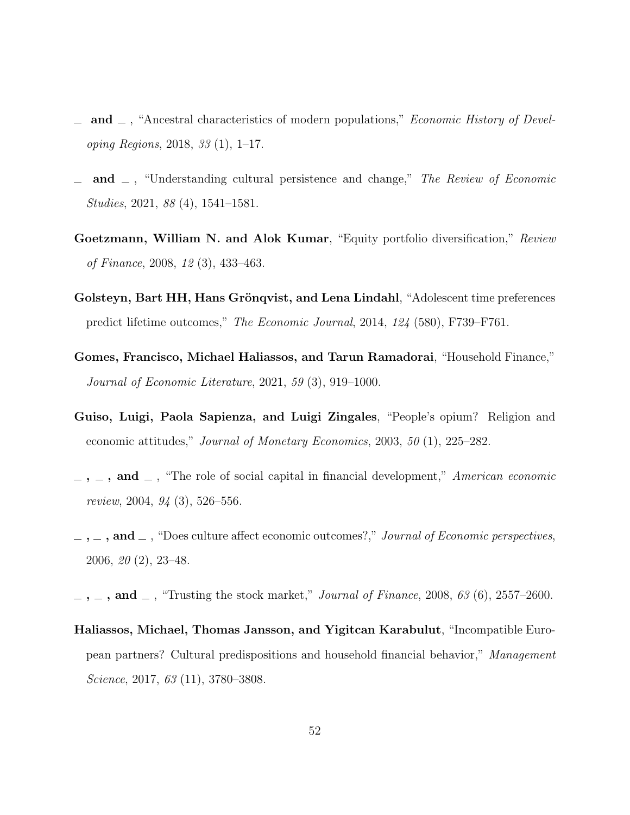- <span id="page-52-9"></span>and  $\Box$ , "Ancestral characteristics of modern populations," *Economic History of Devel*oping Regions, 2018, 33 (1), 1–17.
- <span id="page-52-7"></span>and  $\Box$ , "Understanding cultural persistence and change," The Review of Economic Studies, 2021, 88 (4), 1541–1581.
- <span id="page-52-8"></span>Goetzmann, William N. and Alok Kumar, "Equity portfolio diversification," Review of Finance, 2008, 12 (3), 433–463.
- <span id="page-52-5"></span>Golsteyn, Bart HH, Hans Grönqvist, and Lena Lindahl, "Adolescent time preferences predict lifetime outcomes," The Economic Journal, 2014, 124 (580), F739–F761.
- <span id="page-52-4"></span>Gomes, Francisco, Michael Haliassos, and Tarun Ramadorai, "Household Finance," Journal of Economic Literature, 2021, 59 (3), 919–1000.
- <span id="page-52-2"></span>Guiso, Luigi, Paola Sapienza, and Luigi Zingales, "People's opium? Religion and economic attitudes," Journal of Monetary Economics, 2003, 50 (1), 225–282.
- <span id="page-52-6"></span> $\ldots$ , and  $\ldots$ , "The role of social capital in financial development," American economic review, 2004, 94 (3), 526–556.
- <span id="page-52-3"></span> $, \ldots, \ldots,$  and  $\ldots$ , "Does culture affect economic outcomes?," Journal of Economic perspectives, 2006, 20 (2), 23–48.
- <span id="page-52-0"></span> $, \ldots$ , and  $\ldots$ , "Trusting the stock market," *Journal of Finance*, 2008, 63 (6), 2557–2600.
- <span id="page-52-1"></span>Haliassos, Michael, Thomas Jansson, and Yigitcan Karabulut, "Incompatible European partners? Cultural predispositions and household financial behavior," Management Science, 2017, 63 (11), 3780–3808.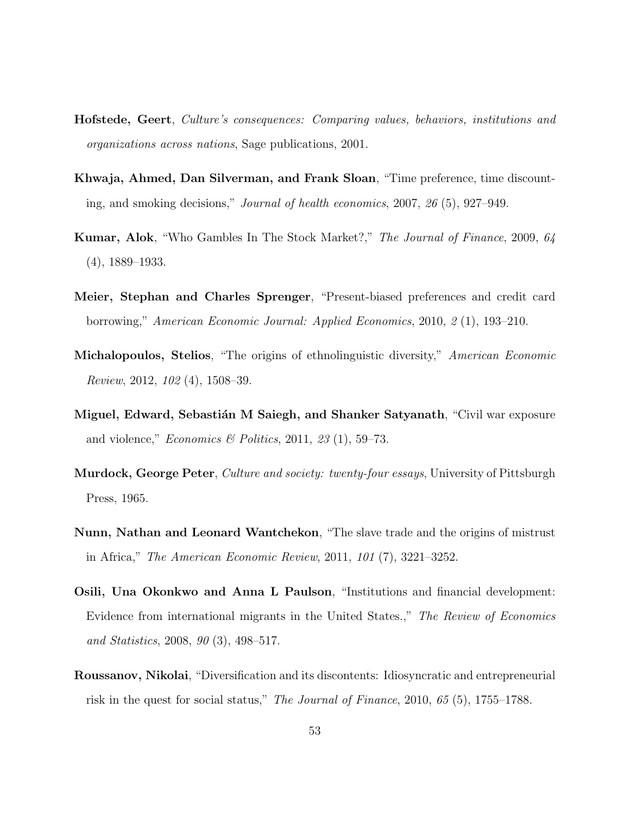- <span id="page-53-9"></span>Hofstede, Geert, Culture's consequences: Comparing values, behaviors, institutions and organizations across nations, Sage publications, 2001.
- <span id="page-53-3"></span>Khwaja, Ahmed, Dan Silverman, and Frank Sloan, "Time preference, time discounting, and smoking decisions," Journal of health economics, 2007, 26 (5), 927–949.
- <span id="page-53-1"></span>Kumar, Alok, "Who Gambles In The Stock Market?," The Journal of Finance, 2009, 64 (4), 1889–1933.
- <span id="page-53-4"></span>Meier, Stephan and Charles Sprenger, "Present-biased preferences and credit card borrowing," American Economic Journal: Applied Economics, 2010, 2 (1), 193–210.
- <span id="page-53-6"></span>Michalopoulos, Stelios, "The origins of ethnolinguistic diversity," American Economic Review, 2012, 102 (4), 1508–39.
- <span id="page-53-0"></span>Miguel, Edward, Sebastián M Saiegh, and Shanker Satyanath, "Civil war exposure and violence," *Economics* & Politics, 2011, 23 (1), 59–73.
- <span id="page-53-5"></span>Murdock, George Peter, *Culture and society: twenty-four essays*, University of Pittsburgh Press, 1965.
- <span id="page-53-7"></span>Nunn, Nathan and Leonard Wantchekon, "The slave trade and the origins of mistrust in Africa," The American Economic Review, 2011, 101 (7), 3221–3252.
- <span id="page-53-2"></span>Osili, Una Okonkwo and Anna L Paulson, "Institutions and financial development: Evidence from international migrants in the United States.," The Review of Economics and Statistics, 2008, 90 (3), 498–517.
- <span id="page-53-8"></span>Roussanov, Nikolai, "Diversification and its discontents: Idiosyncratic and entrepreneurial risk in the quest for social status," The Journal of Finance, 2010, 65 (5), 1755–1788.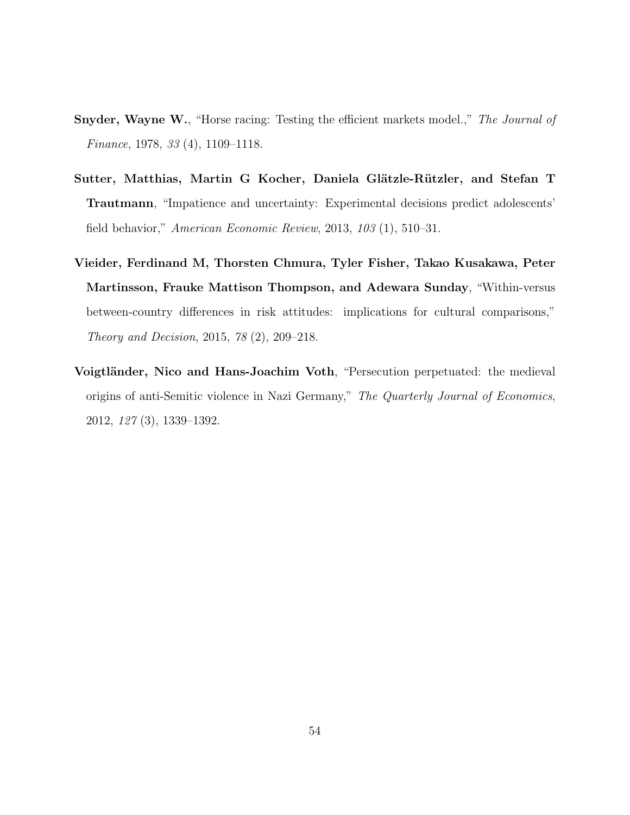- <span id="page-54-1"></span>**Snyder, Wayne W., "Horse racing: Testing the efficient markets model.,"** The Journal of Finance, 1978, 33 (4), 1109–1118.
- <span id="page-54-2"></span>Sutter, Matthias, Martin G Kocher, Daniela Glätzle-Rützler, and Stefan T Trautmann, "Impatience and uncertainty: Experimental decisions predict adolescents' field behavior," American Economic Review, 2013, 103 (1), 510–31.
- <span id="page-54-3"></span>Vieider, Ferdinand M, Thorsten Chmura, Tyler Fisher, Takao Kusakawa, Peter Martinsson, Frauke Mattison Thompson, and Adewara Sunday, "Within-versus between-country differences in risk attitudes: implications for cultural comparisons," Theory and Decision, 2015, 78 (2), 209–218.
- <span id="page-54-0"></span>Voigtländer, Nico and Hans-Joachim Voth, "Persecution perpetuated: the medieval origins of anti-Semitic violence in Nazi Germany," The Quarterly Journal of Economics, 2012, 127 (3), 1339–1392.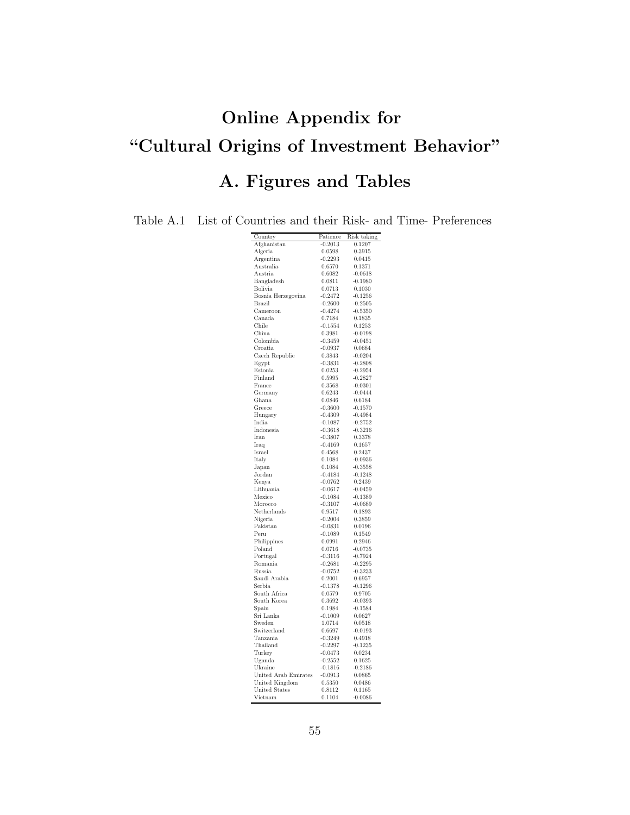# Online Appendix for "Cultural Origins of Investment Behavior" A. Figures and Tables

<span id="page-55-0"></span>Table A.1 List of Countries and their Risk- and Time- Preferences

| Country               | Patience            | Risk taking         |
|-----------------------|---------------------|---------------------|
| Afghanistan           | $-0.2013$           | 0.1207              |
| Algeria               | 0.0598              | 0.3915              |
| Argentina             | $-0.2293$           | 0.0415              |
| Australia             | 0.6570              | 0.1371              |
| Austria               | 0.6082              | $-0.0618$           |
| Bangladesh            | 0.0811              | $-0.1980$           |
| Bolivia               | 0.0713              | 0.1030              |
| Bosnia Herzegovina    | $-0.2472$           | $-0.1256$           |
| Brazil                | $-0.2600$           | $-0.2505$           |
| Cameroon              | $-0.4274$           | $-0.5350$           |
| Canada                | 0.7184              | 0.1835              |
| Chile                 | $-0.1554$           | 0.1253              |
| China                 | 0.3981              | $-0.0198$           |
| Colombia              | $-0.3459$           | $-0.0451$           |
| Croatia               | $-0.0937$           | 0.0684              |
| Czech Republic        | 0.3843              | $-0.0204$           |
| Egypt                 | $-0.3831$           | $-0.2808$           |
| Estonia               | 0.0253              | $-0.2954$           |
| Finland               | 0.5995              | $-0.2827$           |
| France                | 0.3568              | $-0.0301$           |
| Germany               | 0.6243              | $-0.0444$           |
| Ghana                 | 0.0846              | 0.6184              |
| Greece                | $-0.3600$           | $-0.1570$           |
| Hungary               | $-0.4309$           | $-0.4984$           |
| India                 | $-0.1087$           | $-0.2752$           |
| Indonesia             | $-0.3618$           | $-0.3216$           |
| Iran                  | $-0.3807$           | 0.3378              |
| Iraq                  | $-0.4169$           | 0.1657              |
| Israel                | 0.4568              | 0.2437              |
| Italy                 | 0.1084              | $-0.0936$           |
| Japan                 | 0.1084              | $-0.3558$           |
| Jordan                | $-0.4184$           | $-0.1248$           |
| Kenya                 | $-0.0762$           | 0.2439              |
| Lithuania             | $-0.0617$           | $-0.0459$           |
| Mexico                | $-0.1084$           | $-0.1389$           |
| Morocco               | $-0.3107$           | $-0.0689$           |
| Netherlands           | 0.9517              | 0.1893              |
| Nigeria               | $-0.2004$           | 0.3859              |
| Pakistan<br>Peru      | $-0.0831$           | 0.0196              |
|                       | $-0.1089$<br>0.0991 | 0.1549              |
| Philippines<br>Poland | 0.0716              | 0.2946<br>$-0.0735$ |
| Portugal              | $-0.3116$           | $-0.7924$           |
| Romania               | $-0.2681$           | $-0.2295$           |
| Russia                | $-0.0752$           | $-0.3233$           |
| Saudi Arabia          | 0.2001              | 0.6957              |
| Serbia                | $-0.1378$           | $-0.1296$           |
| South Africa          | 0.0579              | 0.9705              |
| South Korea           | 0.3692              | $-0.0393$           |
| Spain                 | 0.1984              | $-0.1584$           |
| Sri Lanka             | $-0.1009$           | 0.0627              |
| Sweden                | 1.0714              | 0.0518              |
| Switzerland           | 0.6697              | $-0.0193$           |
| Tanzania              | $-0.3249$           | 0.4918              |
| Thailand              | $-0.2297$           | $-0.1235$           |
| Turkey                | $-0.0473$           | 0.0234              |
| Uganda                | $-0.2552$           | 0.1625              |
| Ukraine               | $-0.1816$           | $-0.2186$           |
| United Arab Emirates  | $-0.0913$           | 0.0865              |
| United Kingdom        | 0.5350              | 0.0486              |
| <b>United States</b>  | 0.8112              | 0.1165              |
| Vietnam               | 0.1104              | $-0.0086$           |